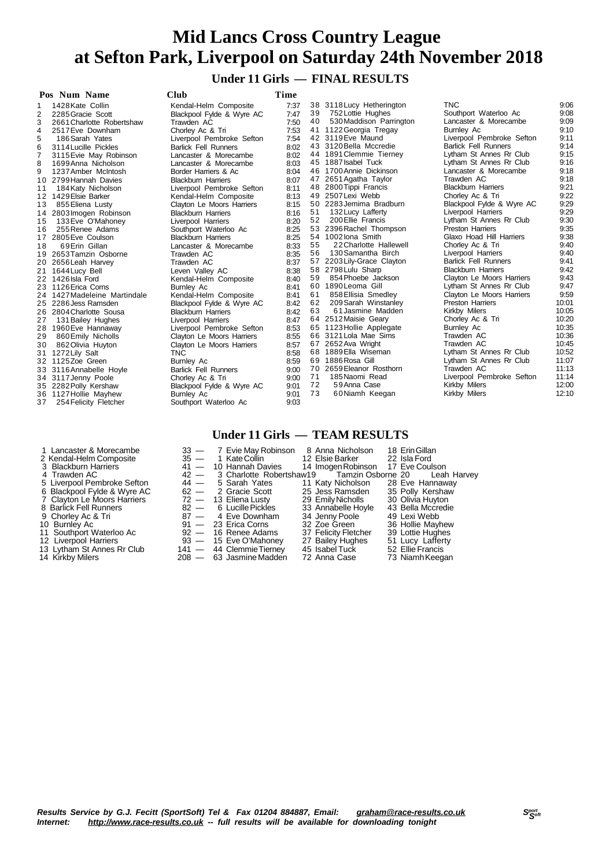## **Under 11 Girls — FINAL RESULTS**

|                | Pos Num Name                 | Club                        | Time |    |                            |                             |       |
|----------------|------------------------------|-----------------------------|------|----|----------------------------|-----------------------------|-------|
| 1              | 1428 Kate Collin             | Kendal-Helm Composite       | 7:37 |    | 38 3118 Lucy Hetherington  | <b>TNC</b>                  | 9:06  |
| 2              | 2285 Gracie Scott            | Blackpool Fylde & Wyre AC   | 7:47 | 39 | 752 Lottie Hughes          | Southport Waterloo Ac       | 9:08  |
| 3              | 2661 Charlotte Robertshaw    | Trawden AC                  | 7:50 | 40 | 530 Maddison Parrington    | Lancaster & Morecambe       | 9:09  |
| 4              | 2517 Eve Downham             | Chorley Ac & Tri            | 7:53 |    | 41 1122 Georgia Tregay     | <b>Burnley Ac</b>           | 9:10  |
| 5              | 186 Sarah Yates              | Liverpool Pembroke Sefton   | 7:54 |    | 42 3119 Eve Maund          | Liverpool Pembroke Sefton   | 9:11  |
| 6              | 3114 Lucille Pickles         | <b>Barlick Fell Runners</b> | 8:02 |    | 43 3120 Bella Mccredie     | <b>Barlick Fell Runners</b> | 9:14  |
| $\overline{7}$ | 3115 Evie May Robinson       | Lancaster & Morecambe       | 8:02 |    | 44 1891 Clemmie Tierney    | Lytham St Annes Rr Club     | 9:15  |
| 8              | 1699 Anna Nicholson          | Lancaster & Morecambe       | 8:03 |    | 45 1887 Isabel Tuck        | Lytham St Annes Rr Club     | 9:16  |
| 9              | 1237 Amber McIntosh          | Border Harriers & Ac        | 8:04 |    | 46 1700 Annie Dickinson    | Lancaster & Morecambe       | 9:18  |
|                | 10 2799 Hannah Davies        | <b>Blackburn Harriers</b>   | 8:07 |    | 47 2651 Agatha Taylor      | Trawden AC                  | 9:18  |
| 11             | 184 Katy Nicholson           | Liverpool Pembroke Sefton   | 8:11 |    | 48 2800 Tippi Francis      | <b>Blackburn Harriers</b>   | 9:21  |
|                | 12 1429 Elsie Barker         | Kendal-Helm Composite       | 8:13 |    | 49 2507 Lexi Webb          | Chorley Ac & Tri            | 9:22  |
| 13             | 855 Eliena Lusty             | Clayton Le Moors Harriers   | 8:15 |    | 50 2283 Jemima Bradburn    | Blackpool Fylde & Wyre AC   | 9:29  |
| 14             | 2803 Imogen Robinson         | <b>Blackburn Harriers</b>   | 8:16 | 51 | 132 Lucy Lafferty          | Liverpool Harriers          | 9:29  |
| 15             | 133 Eve O'Mahoney            | Liverpool Harriers          | 8:20 | 52 | 200 Ellie Francis          | Lytham St Annes Rr Club     | 9:30  |
| 16             | 255 Renee Adams              | Southport Waterloo Ac       | 8:25 |    | 53 2396 Rachel Thompson    | <b>Preston Harriers</b>     | 9:35  |
| 17             | 2805 Eve Coulson             | <b>Blackburn Harriers</b>   | 8:25 |    | 54 1002 lona Smith         | Glaxo Hoad Hill Harriers    | 9:38  |
| 18             | 69 Erin Gillan               | Lancaster & Morecambe       | 8:33 | 55 | 22 Charlotte Hallewell     | Chorley Ac & Tri            | 9:40  |
|                | 19 2653 Tamzin Osborne       | Trawden AC                  | 8:35 | 56 | 130 Samantha Birch         | Liverpool Harriers          | 9:40  |
| 20             | 2656 Leah Harvey             | Trawden AC                  | 8:37 |    | 57 2203 Lily-Grace Clayton | <b>Barlick Fell Runners</b> | 9:41  |
| 21             | 1644 Lucy Bell               | Leven Valley AC             | 8:38 |    | 58 2798 Lulu Sharp         | <b>Blackburn Harriers</b>   | 9:42  |
|                | 22 1426 Isla Ford            | Kendal-Helm Composite       | 8:40 | 59 | 854 Phoebe Jackson         | Clayton Le Moors Harriers   | 9:43  |
|                | 23 1126 Erica Corns          | <b>Burnley Ac</b>           | 8:41 |    | 60 1890 Leoma Gill         | Lytham St Annes Rr Club     | 9:47  |
|                | 24 1427 Madeleine Martindale | Kendal-Helm Composite       | 8:41 | 61 | 858 Ellisia Smedley        | Clayton Le Moors Harriers   | 9:59  |
|                | 25 2286 Jess Ramsden         | Blackpool Fylde & Wyre AC   | 8:42 | 62 | 209 Sarah Winstanley       | <b>Preston Harriers</b>     | 10:01 |
|                | 26 2804 Charlotte Sousa      | <b>Blackburn Harriers</b>   | 8:42 | 63 | 61 Jasmine Madden          | Kirkby Milers               | 10:05 |
| 27             | 131 Bailey Hughes            | Liverpool Harriers          | 8:47 |    | 64 2512 Maisie Geary       | Chorley Ac & Tri            | 10:20 |
| 28             | 1960 Eve Hannaway            | Liverpool Pembroke Sefton   | 8:53 |    | 65 1123 Hollie Applegate   | Burnley Ac                  | 10:35 |
| 29             | 860 Emily Nicholls           | Clayton Le Moors Harriers   | 8:55 |    | 66 3121 Lola Mae Sims      | Trawden AC                  | 10:36 |
| 30             | 862 Olivia Huyton            | Clayton Le Moors Harriers   | 8:57 |    | 67 2652 Ava Wright         | Trawden AC                  | 10:45 |
| 31             | 1272 Lily Salt               | <b>TNC</b>                  | 8:58 |    | 68 1889 Ella Wiseman       | Lytham St Annes Rr Club     | 10:52 |
|                | 32 1125 Zoe Green            | <b>Burnley Ac</b>           | 8:59 |    | 69 1886 Rosa Gill          | Lytham St Annes Rr Club     | 11:07 |
|                | 33 3116 Annabelle Hoyle      | <b>Barlick Fell Runners</b> | 9:00 |    | 70 2659 Eleanor Rosthorn   | Trawden AC                  | 11:13 |
|                | 34 3117 Jenny Poole          | Chorley Ac & Tri            | 9:00 | 71 | 185 Naomi Read             | Liverpool Pembroke Sefton   | 11:14 |
|                | 35 2282 Polly Kershaw        | Blackpool Fylde & Wyre AC   | 9:01 | 72 | 59 Anna Case               | Kirkby Milers               | 12:00 |
|                | 36 1127 Hollie Mayhew        | Burnley Ac                  | 9:01 | 73 | 60Niamh Keegan             | Kirkby Milers               | 12:10 |
| 37             | 254 Felicity Fletcher        | Southport Waterloo Ac       | 9:03 |    |                            |                             |       |
|                |                              |                             |      |    |                            |                             |       |

### **Under 11 Girls — TEAM RESULTS**

| 1 Lancaster & Morecambe<br>2 Kendal-Helm Composite<br>3 Blackburn Harriers<br>4 Trawden AC | $35 -$<br>$42 -$ | 33 - 7 Evie May Robinson 8 Anna Nicholson<br>1 KateCollin<br>$41 - 10$ Hannah Davies<br>3 Charlotte Robertshaw19 | 12 Elsie Barker<br>14 Imogen Robinson<br>Tamzin Osborne 20 | 18 Erin Gillan<br>22 Isla Ford<br>17 Eve Coulson<br>Leah Harvey |
|--------------------------------------------------------------------------------------------|------------------|------------------------------------------------------------------------------------------------------------------|------------------------------------------------------------|-----------------------------------------------------------------|
| 5 Liverpool Pembroke Sefton                                                                | $44 -$           | 5 Sarah Yates                                                                                                    | 11 Katy Nicholson                                          | 28 Eve Hannaway                                                 |
| 6 Blackpool Fylde & Wyre AC                                                                |                  | 62 — 2 Gracie Scott                                                                                              | 25 Jess Ramsden                                            | 35 Polly Kershaw                                                |
| 7 Clayton Le Moors Harriers                                                                |                  | $72 - 13$ Eliena Lusty                                                                                           | 29 Emily Nicholls                                          | 30 Olivia Huyton                                                |
| 8 Barlick Fell Runners                                                                     |                  | 82 - 6 Lucille Pickles                                                                                           | 33 Annabelle Hoyle                                         | 43 Bella Mccredie                                               |
| 9 Chorley Ac & Tri                                                                         |                  | 87 - 4 Eve Downham                                                                                               | 34 Jenny Poole                                             | 49 Lexi Webb                                                    |
| 10 Burnley Ac                                                                              |                  | $91 - 23$ Erica Corns                                                                                            | 32 Zoe Green                                               | 36 Hollie Mayhew                                                |
| 11 Southport Waterloo Ac                                                                   |                  | $92 - 16$ Renee Adams                                                                                            | 37 Felicity Fletcher                                       | 39 Lottie Hughes                                                |
| 12 Liverpool Harriers                                                                      |                  | $93 - 15$ Eve O'Mahoney                                                                                          | 27 Bailey Hughes                                           | 51 Lucy Lafferty                                                |
| 13 Lytham St Annes Rr Club                                                                 |                  | 141 - 44 Clemmie Tierney                                                                                         | 45 Isabel Tuck                                             | 52 Ellie Francis                                                |
| 14 Kirkby Milers                                                                           |                  | 208 - 63 Jasmine Madden                                                                                          | 72 Anna Case                                               | 73 Niamh Keegan                                                 |

# Results Service by G.J. Fecitt (SportSoft) Tel & Fax 01204 884887, Email: <u>[graham@race-results.co.uk](mailto:graham@race-results.co.uk)</u> S<sup>oon</sup><br>Internet: <u><http://www.race-results.co.uk></u> -- full results will be available for downloading tonight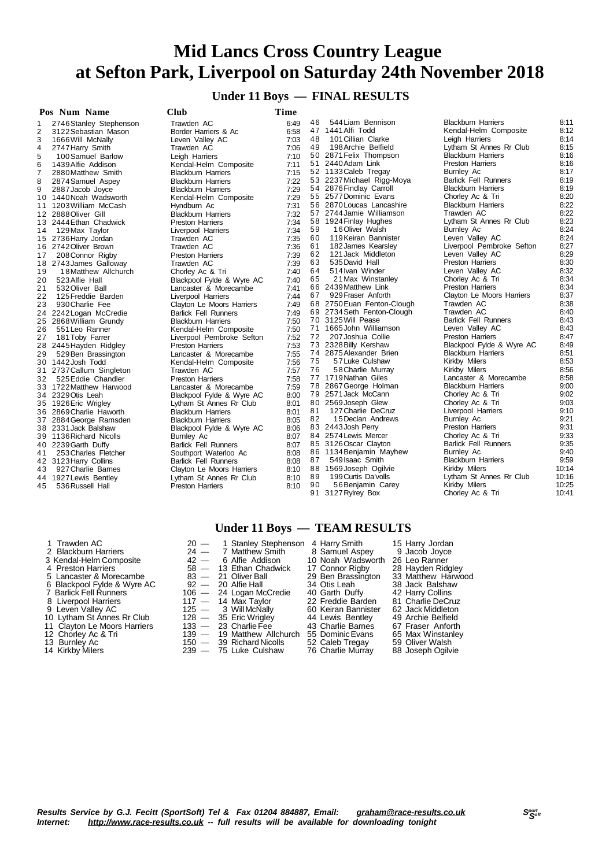#### **Under 11 Boys — FINAL RESULTS**

|                | Pos Num Name            | <b>Club</b>                 | Time |    |                                               |                                            |              |
|----------------|-------------------------|-----------------------------|------|----|-----------------------------------------------|--------------------------------------------|--------------|
| 1              | 2746 Stanley Stephenson | Trawden AC                  | 6:49 | 46 | 544 Liam Bennison                             | <b>Blackburn Harriers</b>                  | 8:11         |
| 2              | 3122 Sebastian Mason    | Border Harriers & Ac        | 6:58 | 47 | 1441 Alfi Todd                                | Kendal-Helm Composite                      | 8:12         |
| 3              | 1666 Will McNally       | Leven Valley AC             | 7:03 | 48 | 101 Cillian Clarke                            | Leigh Harriers                             | 8:14         |
| 4              | 2747 Harry Smith        | Trawden AC                  | 7:06 | 49 | 198 Archie Belfield                           | Lytham St Annes Rr Club                    | 8:15         |
| 5              | 100 Samuel Barlow       | Leigh Harriers              | 7:10 |    | 50 2871 Felix Thompson                        | <b>Blackburn Harriers</b>                  | 8:16         |
| 6              | 1439 Alfie Addison      | Kendal-Helm Composite       | 7:11 |    | 51 2440 Adam Link                             | <b>Preston Harriers</b>                    | 8:16         |
| $\overline{7}$ | 2880 Matthew Smith      | <b>Blackburn Harriers</b>   | 7:15 |    | 52 1133 Caleb Tregay                          | Burnley Ac                                 | 8:17         |
| 8              | 2874 Samuel Aspey       | <b>Blackburn Harriers</b>   | 7:22 |    | 53 2237 Michael Rigg-Moya                     | <b>Barlick Fell Runners</b>                | 8:19         |
| 9              | 2887 Jacob Joyce        | <b>Blackburn Harriers</b>   | 7:29 |    | 54 2876 Findlay Carroll                       | <b>Blackburn Harriers</b>                  | 8:19         |
|                | 10 1440 Noah Wadsworth  | Kendal-Helm Composite       | 7:29 |    | 55 2577 Dominic Evans                         | Chorley Ac & Tri                           | 8:20         |
| 11             | 1203 William McCash     | Hyndburn Ac                 | 7:31 |    | 56 2870 Loucas Lancashire                     | <b>Blackburn Harriers</b>                  | 8:22         |
|                | 12 2888 Oliver Gill     | <b>Blackburn Harriers</b>   | 7:32 |    | 57 2744 Jamie Williamson                      | Trawden AC                                 | 8:22         |
| 13             | 2444 Ethan Chadwick     | <b>Preston Harriers</b>     | 7:34 |    | 58 1924 Finlay Hughes                         | Lytham St Annes Rr Club                    | 8:23         |
| 14             | 129 Max Taylor          | Liverpool Harriers          | 7:34 | 59 | 16 Oliver Walsh                               | Burnley Ac                                 | 8:24         |
|                | 15 2736 Harry Jordan    | Trawden AC                  | 7:35 | 60 | 119 Keiran Bannister                          | Leven Valley AC                            | 8:24         |
|                | 16 2742 Oliver Brown    | Trawden AC                  | 7:36 | 61 | 182 James Kearsley                            | Liverpool Pembroke Sefton                  | 8:27         |
| 17             | 208 Connor Rigby        | <b>Preston Harriers</b>     | 7:39 | 62 | 121 Jack Middleton                            | Leven Valley AC                            | 8:29         |
|                | 18 2743 James Galloway  | Trawden AC                  | 7:39 | 63 | 535 David Hall                                | <b>Preston Harriers</b>                    | 8:30         |
| 19             | 18 Matthew Allchurch    | Chorley Ac & Tri            | 7:40 | 64 | 514 Ivan Winder                               | Leven Valley AC                            | 8:32         |
| 20             | 523 Alfie Hall          | Blackpool Fylde & Wyre AC   | 7:40 | 65 | 21 Max Winstanley                             | Chorley Ac & Tri                           | 8:34         |
| 21             | 532 Oliver Ball         | Lancaster & Morecambe       | 7:41 |    | 66 2439 Matthew Link                          | <b>Preston Harriers</b>                    | 8:34         |
| 22             | 125 Freddie Barden      | Liverpool Harriers          | 7:44 | 67 | 929 Fraser Anforth                            | Clayton Le Moors Harriers                  | 8:37         |
| 23             | 930 Charlie Fee         | Clayton Le Moors Harriers   | 7:49 |    | 68 2750 Euan Fenton-Clough                    | Trawden AC                                 | 8:38         |
|                | 24 2242 Logan McCredie  | <b>Barlick Fell Runners</b> | 7:49 |    | 69 2734 Seth Fenton-Clough                    | Trawden AC                                 | 8:40         |
|                | 25 2868 William Grundy  | <b>Blackburn Harriers</b>   | 7:50 |    | 70 3125 Will Pease                            | <b>Barlick Fell Runners</b>                | 8:43         |
| 26             | 551 Leo Ranner          | Kendal-Helm Composite       | 7:50 |    | 71 1665 John Williamson                       | Leven Valley AC                            | 8:43         |
| 27             | 181 Toby Farrer         | Liverpool Pembroke Sefton   | 7:52 | 72 | 207 Joshua Collie                             | <b>Preston Harriers</b>                    | 8:47         |
|                | 28 2445 Hayden Ridgley  | Preston Harriers            | 7:53 |    | 73 2328 Billy Kershaw                         | Blackpool Fylde & Wyre AC                  | 8:49         |
| 29             | 529 Ben Brassington     | Lancaster & Morecambe       | 7:55 |    | 74 2875 Alexander Brien                       | <b>Blackburn Harriers</b>                  | 8:51         |
|                | 30 1442 Josh Todd       | Kendal-Helm Composite       | 7:56 | 75 | 57 Luke Culshaw                               | Kirkby Milers                              | 8:53         |
| 31             | 2737 Callum Singleton   | Trawden AC                  | 7:57 | 76 | 58 Charlie Murray                             | Kirkby Milers                              | 8:56         |
| 32             | 525 Eddie Chandler      | <b>Preston Harriers</b>     | 7:58 |    | 77 1719 Nathan Giles                          | Lancaster & Morecambe                      | 8:58         |
|                | 33 1722 Matthew Harwood | Lancaster & Morecambe       | 7:59 |    | 78 2867 George Holman                         | <b>Blackburn Harriers</b>                  | 9:00         |
|                | 34 2329 Otis Leah       | Blackpool Fylde & Wyre AC   | 8:00 |    | 79 2571 Jack McCann                           | Chorley Ac & Tri                           | 9:02         |
|                | 35 1926 Eric Wrigley    | Lytham St Annes Rr Club     | 8:01 |    | 80 2569 Joseph Glew                           | Chorley Ac & Tri                           | 9:03         |
|                | 36 2869 Charlie Haworth | <b>Blackburn Harriers</b>   | 8:01 | 81 | 127 Charlie DeCruz                            | Liverpool Harriers                         | 9:10         |
|                | 37 2884 George Ramsden  | <b>Blackburn Harriers</b>   | 8:05 | 82 | 15 Declan Andrews                             | <b>Burnley Ac</b>                          | 9:21         |
|                | 38 2331 Jack Balshaw    | Blackpool Fylde & Wyre AC   | 8:06 |    | 83 2443 Josh Perry                            | <b>Preston Harriers</b>                    | 9:31<br>9:33 |
|                | 39 1136 Richard Nicolls | Burnley Ac                  | 8:07 |    | 84 2574 Lewis Mercer                          | Chorley Ac & Tri                           | 9:35         |
|                | 40 2239 Garth Duffy     | <b>Barlick Fell Runners</b> | 8:07 |    | 85 3126 Oscar Clayton                         | <b>Barlick Fell Runners</b>                |              |
| 41             | 253 Charles Fletcher    | Southport Waterloo Ac       | 8:08 |    | 86 1134 Benjamin Mayhew                       | Burnley Ac                                 | 9:40<br>9:59 |
|                | 42 3123 Harry Collins   | <b>Barlick Fell Runners</b> | 8:08 | 87 | 549 Isaac Smith                               | <b>Blackburn Harriers</b><br>Kirkby Milers | 10:14        |
| 43             | 927 Charlie Barnes      | Clayton Le Moors Harriers   | 8:10 | 89 | 88 1569 Joseph Ogilvie<br>199 Curtis Da'volls |                                            | 10:16        |
|                | 44 1927 Lewis Bentley   | Lytham St Annes Rr Club     | 8:10 | 90 | 56 Benjamin Carey                             | Lytham St Annes Rr Club<br>Kirkby Milers   | 10:25        |
| 45             | 536 Russell Hall        | <b>Preston Harriers</b>     | 8:10 |    | 91 3127 Rylrey Box                            | Chorley Ac & Tri                           | 10:41        |
|                |                         |                             |      |    |                                               |                                            |              |

| <b>Under 11 Boys</b> | <b>TEAM RESULTS</b> |  |
|----------------------|---------------------|--|
|----------------------|---------------------|--|

| 1 Trawden AC<br>2 Blackburn Harriers |        | 20 - 1 Stanley Stephenson<br>24 - 7 Matthew Smith | 4 Harry Smith<br>8 Samuel Aspey | 15 Harry Jordan<br>9 Jacob Joyce |
|--------------------------------------|--------|---------------------------------------------------|---------------------------------|----------------------------------|
| 3 Kendal-Helm Composite              | $42 -$ | 6 Alfie Addison                                   | 10 Noah Wadsworth               | 26 Leo Ranner                    |
| 4 Preston Harriers                   |        | 58 - 13 Ethan Chadwick                            | 17 Connor Rigby                 | 28 Hayden Ridgley                |
| 5 Lancaster & Morecambe              |        | $83 - 21$ Oliver Ball                             | 29 Ben Brassington              | 33 Matthew Harwood               |
| 6 Blackpool Fylde & Wyre AC          |        | $92 - 20$ Alfie Hall                              | 34 Otis Leah                    | 38 Jack Balshaw                  |
| 7 Barlick Fell Runners               |        | 106 - 24 Logan McCredie                           | 40 Garth Duffy                  | 42 Harry Collins                 |
| 8 Liverpool Harriers                 |        | $117 - 14$ Max Taylor                             | 22 Freddie Barden               | 81 Charlie DeCruz                |
| 9 Leven Vallev AC                    |        | $125 - 3$ Will McNally                            | 60 Keiran Bannister             | 62 Jack Middleton                |
| 10 Lytham St Annes Rr Club           |        | $128 - 35$ Eric Wrigley                           | 44 Lewis Bentley                | 49 Archie Belfield               |
| 11 Clayton Le Moors Harriers         |        | $133 - 23$ Charlie Fee                            | 43 Charlie Barnes               | 67 Fraser Anforth                |
| 12 Chorley Ac & Tri                  |        | 139 - 19 Matthew Allchurch                        | 55 Dominic Evans                | 65 Max Winstanley                |
| 13 Burnley Ac                        |        | $150 - 39$ Richard Nicolls                        | 52 Caleb Tregay                 | 59 Oliver Walsh                  |
| 14 Kirkby Milers                     |        | 239 - 75 Luke Culshaw                             | 76 Charlie Murray               | 88 Joseph Ogilvie                |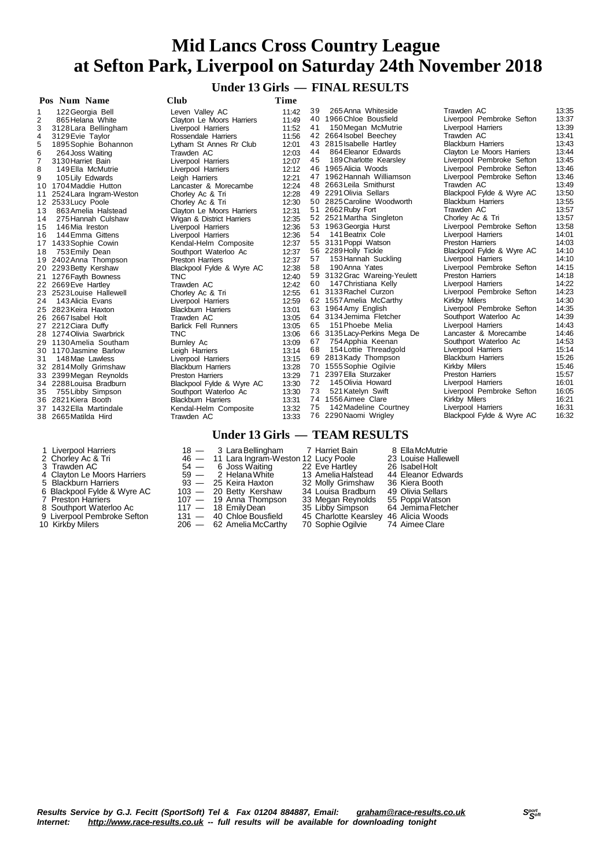**Under 13 Girls — FINAL RESULTS**

|                | Pos Num Name             | Club                        | Time  |    |                              |                           |       |
|----------------|--------------------------|-----------------------------|-------|----|------------------------------|---------------------------|-------|
| 1              | 122 Georgia Bell         | Leven Valley AC             | 11:42 | 39 | 265 Anna Whiteside           | Trawden AC                | 13:35 |
| $\overline{2}$ | 865 Helana White         | Clayton Le Moors Harriers   | 11:49 |    | 40 1966 Chloe Bousfield      | Liverpool Pembroke Sefton | 13:37 |
| 3              | 3128 Lara Bellingham     | Liverpool Harriers          | 11:52 | 41 | 150 Megan McMutrie           | Liverpool Harriers        | 13:39 |
| 4              | 3129 Evie Taylor         | Rossendale Harriers         | 11:56 |    | 42 2664 Isobel Beechey       | Trawden AC                | 13:41 |
| 5              | 1895 Sophie Bohannon     | Lytham St Annes Rr Club     | 12:01 |    | 43 2815 Isabelle Hartley     | <b>Blackburn Harriers</b> | 13:43 |
| 6              | 264 Joss Waiting         | Trawden AC                  | 12:03 | 44 | 864 Eleanor Edwards          | Clayton Le Moors Harriers | 13:44 |
| $\overline{7}$ | 3130 Harriet Bain        | Liverpool Harriers          | 12:07 | 45 | 189 Charlotte Kearsley       | Liverpool Pembroke Sefton | 13:45 |
| 8              | 149 Ella McMutrie        | Liverpool Harriers          | 12:12 |    | 46 1965 Alicia Woods         | Liverpool Pembroke Sefton | 13:46 |
| 9              | 105 Lily Edwards         | Leigh Harriers              | 12:21 |    | 47 1962 Hannah Williamson    | Liverpool Pembroke Sefton | 13:46 |
|                | 10 1704 Maddie Hutton    | Lancaster & Morecambe       | 12:24 |    | 48 2663 Leila Smithurst      | Trawden AC                | 13:49 |
| 11             | 2524 Lara Ingram-Weston  | Chorley Ac & Tri            | 12:28 |    | 49 2291 Olivia Sellars       | Blackpool Fylde & Wyre AC | 13:50 |
|                | 12 2533 Lucy Poole       | Chorley Ac & Tri            | 12:30 |    | 50 2825 Caroline Woodworth   | <b>Blackburn Harriers</b> | 13:55 |
| 13             | 863 Amelia Halstead      | Clayton Le Moors Harriers   | 12:31 |    | 51 2662 Ruby Fort            | Trawden AC                | 13:57 |
| 14             | 275 Hannah Culshaw       | Wigan & District Harriers   | 12:35 |    | 52 2521 Martha Singleton     | Chorley Ac & Tri          | 13:57 |
| 15             | 146 Mia Ireston          | Liverpool Harriers          | 12:36 |    | 53 1963 Georgia Hurst        | Liverpool Pembroke Sefton | 13:58 |
| 16             | 144 Emma Gittens         | Liverpool Harriers          | 12:36 | 54 | 141 Beatrix Cole             | Liverpool Harriers        | 14:01 |
| 17             | 1433 Sophie Cowin        | Kendal-Helm Composite       | 12:37 |    | 55 3131 Poppi Watson         | <b>Preston Harriers</b>   | 14:03 |
| 18             | 753 Emily Dean           | Southport Waterloo Ac       | 12:37 |    | 56 2289 Holly Tickle         | Blackpool Fylde & Wyre AC | 14:10 |
|                | 19 2402 Anna Thompson    | <b>Preston Harriers</b>     | 12:37 | 57 | 153 Hannah Suckling          | Liverpool Harriers        | 14:10 |
|                | 20 2293 Betty Kershaw    | Blackpool Fylde & Wyre AC   | 12:38 | 58 | 190 Anna Yates               | Liverpool Pembroke Sefton | 14:15 |
|                | 21 1276 Fayth Bowness    | TNC                         | 12:40 |    | 59 3132 Grac Wareing-Yeulett | <b>Preston Harriers</b>   | 14:18 |
|                | 22 2669 Eve Hartley      | Trawden AC                  | 12:42 | 60 | 147 Christiana Kelly         | Liverpool Harriers        | 14:22 |
|                | 23 2523 Louise Hallewell | Chorley Ac & Tri            | 12:55 |    | 61 3133 Rachel Curzon        | Liverpool Pembroke Sefton | 14:23 |
| 24             | 143 Alicia Evans         | Liverpool Harriers          | 12:59 |    | 62 1557 Amelia McCarthy      | Kirkby Milers             | 14:30 |
|                | 25 2823 Keira Haxton     | <b>Blackburn Harriers</b>   | 13:01 |    | 63 1964 Amy English          | Liverpool Pembroke Sefton | 14:35 |
|                | 26 2667 Isabel Holt      | Trawden AC                  | 13:05 |    | 64 3134 Jemima Fletcher      | Southport Waterloo Ac     | 14:39 |
|                | 27 2212 Ciara Duffy      | <b>Barlick Fell Runners</b> | 13:05 | 65 | 151 Phoebe Melia             | Liverpool Harriers        | 14:43 |
|                | 28 1274 Olivia Swarbrick | <b>TNC</b>                  | 13:06 |    | 66 3135 Lacy-Perkins Mega De | Lancaster & Morecambe     | 14:46 |
|                | 29 1130 Amelia Southam   | <b>Burnley Ac</b>           | 13:09 | 67 | 754 Apphia Keenan            | Southport Waterloo Ac     | 14:53 |
|                | 30 1170 Jasmine Barlow   | Leigh Harriers              | 13:14 | 68 | 154 Lottie Threadgold        | Liverpool Harriers        | 15:14 |
| 31             | 148 Mae Lawless          | Liverpool Harriers          | 13:15 | 69 | 2813Kady Thompson            | <b>Blackburn Harriers</b> | 15:26 |
|                | 32 2814 Molly Grimshaw   | <b>Blackburn Harriers</b>   | 13:28 |    | 70 1555 Sophie Ogilvie       | Kirkby Milers             | 15:46 |
|                | 33 2399 Megan Reynolds   | <b>Preston Harriers</b>     | 13:29 |    | 71 2397 Ella Sturzaker       | <b>Preston Harriers</b>   | 15:57 |
|                | 34 2288 Louisa Bradburn  | Blackpool Fylde & Wyre AC   | 13:30 | 72 | 145 Olivia Howard            | Liverpool Harriers        | 16:01 |
| 35             | 755 Libby Simpson        | Southport Waterloo Ac       | 13:30 | 73 | 521 Katelyn Swift            | Liverpool Pembroke Sefton | 16:05 |
|                | 36 2821 Kiera Booth      | <b>Blackburn Harriers</b>   | 13:31 |    | 74 1556 Aimee Clare          | Kirkby Milers             | 16:21 |
|                | 37 1432 Ella Martindale  | Kendal-Helm Composite       | 13:32 | 75 | 142 Madeline Courtney        | Liverpool Harriers        | 16:31 |
|                | 38 2665 Matilda Hird     | Trawden AC                  | 13:33 |    | 76 2290 Naomi Wrigley        | Blackpool Fylde & Wyre AC | 16:32 |

- 
- 
- 
- 
- 
- 
- 
- 
- 
- 

**Under 13 Girls — TEAM RESULTS** 1 Liverpool Harriers 18 - 3 Lara Bellingham 1 Harriet Bain 8 Ella McMutrie<br>
2 Chorley Ac & Tri 146 - 11 Lara Ingram-Weston 12 Lucy Poole 23 Louise Hallewell<br>
3 Trawden AC 54 - 6 Joss Waiting 22 Eve Hartley 26 Isabel Holt<br> 2 Chorley Ac & Tri 46 — 11 Lara Ingram-Weston 12 Lucy Poole 23 Louise Hallewell Trawden AC 54 — 6 Joss Waiting 22 Eve Hartley 26 IsabelHolt 4 Clayton Le Moors Harriers and the 21 Clayton Le Moors Harriers and 59  $-$  2 Helana White 13 Amelia Halstead 44 Eleanor Edwards<br>5 Blackburn Harriers and 5 32 Melia Halstead 44 Eleanor Edwards<br>6 Blackpool Fylde & Wyre AC 1 5 Blackburn Harriers 93 — 25 Keira Haxton 32 Molly Grimshaw 36 Kiera Booth 6 Blackpool Fylde & Wyre AC 103 — 20 Betty Kershaw 34 Louisa Bradburn 49 Olivia Sellars 8 Southport Waterloo Ac  $117 - 18$  Emily Dean 35 Libby Simpson 64 Jemima Fletcher

- 
- 

8 Blackpool Fylde & Wyre AC and Text of the Harveston 103 — 20 Betty Kershaw 34 Louisa Bradburn 49 Olivia Sellars<br>
7 Preston Harriers 107 — 19 Anna Thompson 33 Megan Reynolds 55 Poppi Watson<br>
8 Southport Waterloo Ac 117 — 9 Liverpool Pembroke Sefton 131 — 40 Chloe Bousfield 45 Charlotte Kearsley 46 Alicia Woods

- 
- 
- 
- 

Kirkby Milers 206 — 62 Amelia McCarthy 70 Sophie Ogilvie 74 Aimee Clare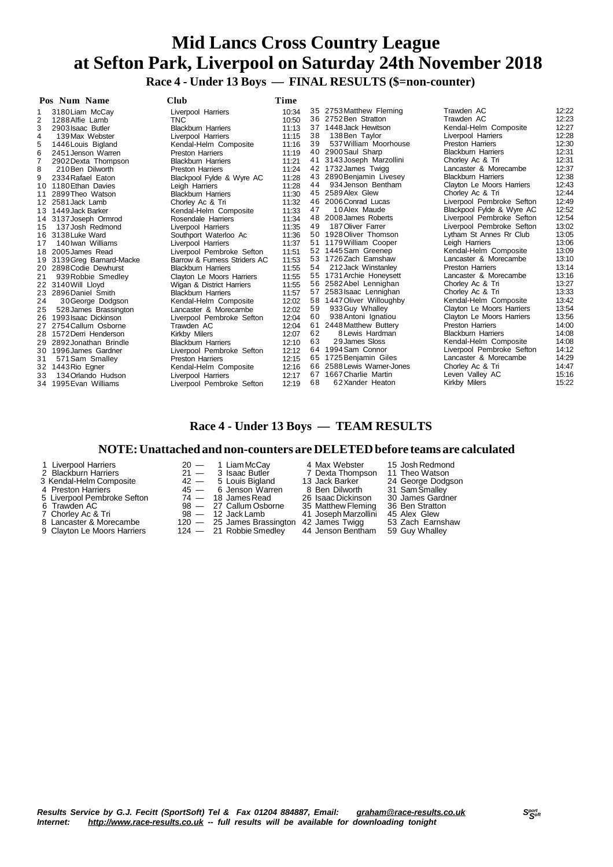**Race 4 - Under 13 Boys — FINAL RESULTS (\$=non-counter)**

|    | Pos Num Name               | $Cl$ ub                      | <b>Time</b> |    |                            |                           |       |
|----|----------------------------|------------------------------|-------------|----|----------------------------|---------------------------|-------|
|    | 3180 Liam McCay            | Liverpool Harriers           | 10:34       |    | 35 2753 Matthew Fleming    | Trawden AC                | 12:22 |
| 2  | 1288 Alfie Lamb            | <b>TNC</b>                   | 10:50       |    | 36 2752 Ben Stratton       | Trawden AC                | 12:23 |
| 3  | 2903 Isaac Butler          | <b>Blackburn Harriers</b>    | 11:13       |    | 37 1448 Jack Hewitson      | Kendal-Helm Composite     | 12:27 |
| 4  | 139 Max Webster            | Liverpool Harriers           | 11:15       | 38 | 138 Ben Taylor             | Liverpool Harriers        | 12:28 |
|    | 1446 Louis Bigland         | Kendal-Helm Composite        | 11:16       | 39 | 537 William Moorhouse      | <b>Preston Harriers</b>   | 12:30 |
| 6  | 2451 Jenson Warren         | <b>Preston Harriers</b>      | 11:19       |    | 40 2900 Saul Sharp         | <b>Blackburn Harriers</b> | 12:31 |
|    | 2902 Dexta Thompson        | <b>Blackburn Harriers</b>    | 11:21       | 41 | 3143 Joseph Marzollini     | Chorley Ac & Tri          | 12:31 |
| 8  | 210 Ben Dilworth           | <b>Preston Harriers</b>      | 11:24       |    | 42 1732 James Twigg        | Lancaster & Morecambe     | 12:37 |
| 9  | 2334 Rafael Eaton          | Blackpool Fylde & Wyre AC    | 11:28       | 43 | 2890 Benjamin Livesey      | <b>Blackburn Harriers</b> | 12:38 |
|    | 10 1180 Ethan Davies       | Leigh Harriers               | 11:28       | 44 | 934 Jenson Bentham         | Clayton Le Moors Harriers | 12:43 |
|    | 2899 Theo Watson           | <b>Blackburn Harriers</b>    | 11:30       |    | 45 2589 Alex Glew          | Chorley Ac & Tri          | 12:44 |
| 12 | 2581 Jack Lamb             | Chorley Ac & Tri             | 11:32       |    | 46 2006 Conrad Lucas       | Liverpool Pembroke Sefton | 12:49 |
| 13 | 1449 Jack Barker           | Kendal-Helm Composite        | 11:33       | 47 | 10 Alex Maude              | Blackpool Fylde & Wyre AC | 12:52 |
| 14 | 3137 Joseph Ormrod         | Rosendale Harriers           | 11:34       |    | 48 2008 James Roberts      | Liverpool Pembroke Sefton | 12:54 |
| 15 | 137 Josh Redmond           | Liverpool Harriers           | 11:35       | 49 | 187 Oliver Farrer          | Liverpool Pembroke Sefton | 13:02 |
| 16 | 3138 Luke Ward             | Southport Waterloo Ac        | 11:36       |    | 50 1928 Oliver Thomson     | Lytham St Annes Rr Club   | 13:05 |
| 17 | 140 Iwan Williams          | Liverpool Harriers           | 11:37       |    | 51 1179 William Cooper     | Leigh Harriers            | 13:06 |
| 18 | 2005 James Read            | Liverpool Pembroke Sefton    | 11:51       |    | 52 1445 Sam Greenep        | Kendal-Helm Composite     | 13:09 |
|    | 19 3139 Greg Barnard-Macke | Barrow & Furness Striders AC | 11:53       |    | 53 1726 Zach Earnshaw      | Lancaster & Morecambe     | 13:10 |
| 20 | 2898 Codie Dewhurst        | <b>Blackburn Harriers</b>    | 11:55       | 54 | 212 Jack Winstanley        | <b>Preston Harriers</b>   | 13:14 |
| 21 | 939 Robbie Smedley         | Clayton Le Moors Harriers    | 11:55       |    | 55 1731 Archie Honeysett   | Lancaster & Morecambe     | 13:16 |
|    | 22 3140 Will Lloyd         | Wigan & District Harriers    | 11:55       |    | 56 2582 Abel Lennighan     | Chorley Ac & Tri          | 13:27 |
| 23 | 2896 Daniel Smith          | <b>Blackburn Harriers</b>    | 11:57       |    | 57 2583 Isaac Lennighan    | Chorley Ac & Tri          | 13:33 |
| 24 | 30 George Dodgson          | Kendal-Helm Composite        | 12:02       |    | 58 1447 Oliver Willoughby  | Kendal-Helm Composite     | 13:42 |
| 25 | 528 James Brassington      | Lancaster & Morecambe        | 12:02       | 59 | 933 Guy Whalley            | Clayton Le Moors Harriers | 13:54 |
| 26 | 1993 Isaac Dickinson       | Liverpool Pembroke Sefton    | 12:04       | 60 | 938 Antoni Ignatiou        | Clayton Le Moors Harriers | 13:56 |
| 27 | 2754 Callum Osborne        | Trawden AC                   | 12:04       | 61 | 2448 Matthew Buttery       | <b>Preston Harriers</b>   | 14:00 |
|    | 28 1572 Derri Henderson    | <b>Kirkby Milers</b>         | 12:07       | 62 | 8 Lewis Hardman            | <b>Blackburn Harriers</b> | 14:08 |
|    | 29 2892 Jonathan Brindle   | <b>Blackburn Harriers</b>    | 12:10       | 63 | 29 James Sloss             | Kendal-Helm Composite     | 14:08 |
| 30 | 1996 James Gardner         | Liverpool Pembroke Sefton    | 12:12       |    | 64 1994 Sam Connor         | Liverpool Pembroke Sefton | 14:12 |
| 31 | 571 Sam Smalley            | <b>Preston Harriers</b>      | 12:15       |    | 65 1725 Benjamin Giles     | Lancaster & Morecambe     | 14:29 |
| 32 | 1443 Rio Egner             | Kendal-Helm Composite        | 12:16       |    | 66 2588 Lewis Warner-Jones | Chorley Ac & Tri          | 14:47 |
| 33 | 134 Orlando Hudson         | Liverpool Harriers           | 12:17       |    | 67 1667 Charlie Martin     | Leven Valley AC           | 15:16 |
|    | 34 1995 Evan Williams      | Liverpool Pembroke Sefton    | 12:19       | 68 | 62Xander Heaton            | Kirkby Milers             | 15:22 |

### **Race 4 - Under 13 Boys — TEAM RESULTS**

### **NOTE:Unattached and non-counters are DELETEDbefore teams are calculated**

| 1 Liverpool Harriers<br>2 Blackburn Harriers<br>3 Kendal-Helm Composite<br>4 Preston Harriers<br>5 Liverpool Pembroke Sefton<br>6 Trawden AC | $20 - 1$ Liam McCay<br>$21 - 3$ Isaac Butler<br>$42 - 5$ Louis Bigland<br>$45 - 6$ Jenson Warren<br>$74 - 18$ James Read<br>98 - 27 Callum Osborne | 4 Max Webster<br>7 Dexta Thompson<br>13 Jack Barker<br>8 Ben Dilworth<br>26 Isaac Dickinson<br>35 Matthew Fleming | 15 Josh Redmond<br>11 Theo Watson<br>24 George Dodgson<br>31 Sam Smallev<br>30 James Gardner<br>36 Ben Stratton |
|----------------------------------------------------------------------------------------------------------------------------------------------|----------------------------------------------------------------------------------------------------------------------------------------------------|-------------------------------------------------------------------------------------------------------------------|-----------------------------------------------------------------------------------------------------------------|
|                                                                                                                                              |                                                                                                                                                    |                                                                                                                   | 45 Alex Glew                                                                                                    |
| 7 Chorley Ac & Tri<br>8 Lancaster & Morecambe                                                                                                | $98 - 12$ Jack Lamb<br>120 - 25 James Brassington 42 James Twigg                                                                                   | 41 Joseph Marzollini                                                                                              | 53 Zach Earnshaw                                                                                                |
| 9 Clayton Le Moors Harriers                                                                                                                  | 124 - 21 Robbie Smedley                                                                                                                            | 44 Jenson Bentham                                                                                                 | 59 Guy Whalley                                                                                                  |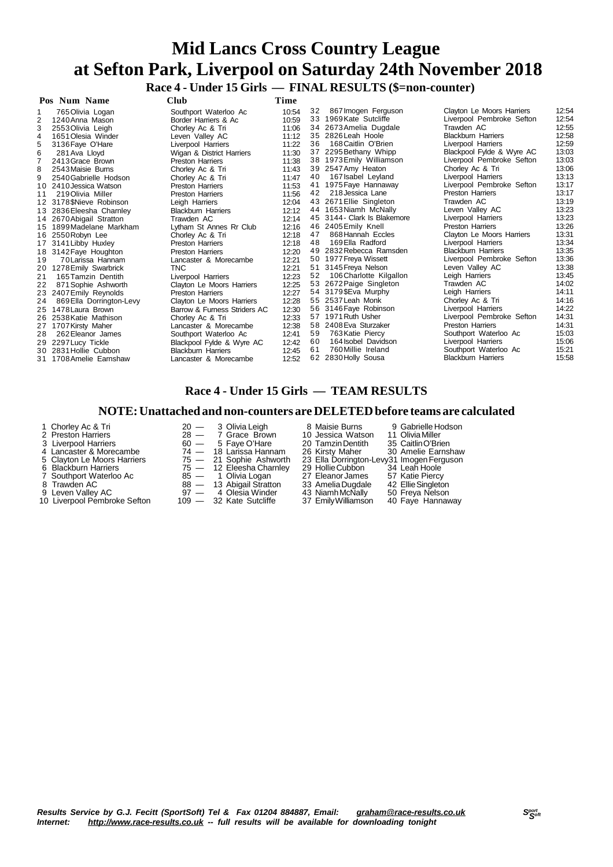**Race 4 - Under 15 Girls — FINAL RESULTS (\$=non-counter)**

|    | Pos Num Name             | Club                         | Time  |    |                           |                           |       |
|----|--------------------------|------------------------------|-------|----|---------------------------|---------------------------|-------|
|    | 765 Olivia Logan         | Southport Waterloo Ac        | 10:54 | 32 | 867 Imogen Ferguson       | Clayton Le Moors Harriers | 12:54 |
| 2  | 1240 Anna Mason          | Border Harriers & Ac         | 10:59 | 33 | 1969 Kate Sutcliffe       | Liverpool Pembroke Sefton | 12:54 |
| 3  | 2553 Olivia Leigh        | Chorley Ac & Tri             | 11:06 |    | 34 2673 Amelia Dugdale    | Trawden AC                | 12:55 |
| 4  | 1651 Olesia Winder       | Leven Valley AC              | 11:12 | 35 | 2826 Leah Hoole           | <b>Blackburn Harriers</b> | 12:58 |
| 5  | 3136 Faye O'Hare         | Liverpool Harriers           | 11:22 | 36 | 168 Caitlin O'Brien       | Liverpool Harriers        | 12:59 |
| 6  | 281 Ava Lloyd            | Wigan & District Harriers    | 11:30 |    | 37 2295 Bethany Whipp     | Blackpool Fylde & Wyre AC | 13:03 |
|    | 2413 Grace Brown         | <b>Preston Harriers</b>      | 11:38 | 38 | 1973 Emily Williamson     | Liverpool Pembroke Sefton | 13:03 |
| 8  | 2543 Maisie Burns        | Chorley Ac & Tri             | 11:43 | 39 | 2547 Amy Heaton           | Chorley Ac & Tri          | 13:06 |
| 9  | 2540 Gabrielle Hodson    | Chorley Ac & Tri             | 11:47 | 40 | 167 Isabel Leyland        | Liverpool Harriers        | 13:13 |
|    | 10 2410 Jessica Watson   | <b>Preston Harriers</b>      | 11:53 | 41 | 1975 Faye Hannaway        | Liverpool Pembroke Sefton | 13:17 |
| 11 | 219 Olivia Miller        | <b>Preston Harriers</b>      | 11:56 | 42 | 218 Jessica Lane          | <b>Preston Harriers</b>   | 13:17 |
|    | 12 3178 SNieve Robinson  | Leigh Harriers               | 12:04 |    | 43 2671 Ellie Singleton   | Trawden AC                | 13:19 |
|    | 13 2836 Eleesha Charnley | <b>Blackburn Harriers</b>    | 12:12 |    | 44 1653 Niamh McNally     | Leven Valley AC           | 13:23 |
| 14 | 2670 Abigail Stratton    | Trawden AC                   | 12:14 | 45 | 3144 - Clark Is Blakemore | Liverpool Harriers        | 13:23 |
| 15 | 1899 Madelane Markham    | Lytham St Annes Rr Club      | 12:16 | 46 | 2405 Emily Knell          | <b>Preston Harriers</b>   | 13:26 |
|    | 16 2550 Robyn Lee        | Chorley Ac & Tri             | 12:18 | 47 | 868 Hannah Eccles         | Clayton Le Moors Harriers | 13:31 |
|    | 17 3141 Libby Huxley     | <b>Preston Harriers</b>      | 12:18 | 48 | 169 Ella Radford          | Liverpool Harriers        | 13:34 |
|    | 18 3142 Faye Houghton    | <b>Preston Harriers</b>      | 12:20 | 49 | 2832 Rebecca Ramsden      | <b>Blackburn Harriers</b> | 13:35 |
| 19 | 70 Larissa Hannam        | Lancaster & Morecambe        | 12:21 |    | 50 1977 Freya Wissett     | Liverpool Pembroke Sefton | 13:36 |
| 20 | 1278 Emily Swarbrick     | <b>TNC</b>                   | 12:21 | 51 | 3145 Freya Nelson         | Leven Valley AC           | 13:38 |
| 21 | 165 Tamzin Dentith       | Liverpool Harriers           | 12:23 | 52 | 106 Charlotte Kilgallon   | Leigh Harriers            | 13:45 |
| 22 | 871 Sophie Ashworth      | Clayton Le Moors Harriers    | 12:25 | 53 | 2672 Paige Singleton      | Trawden AC                | 14:02 |
| 23 | 2407 Emily Reynolds      | <b>Preston Harriers</b>      | 12:27 |    | 54 3179\$Eva Murphy       | Leigh Harriers            | 14:11 |
| 24 | 869 Ella Dorrington-Levy | Clayton Le Moors Harriers    | 12:28 | 55 | 2537 Leah Monk            | Chorley Ac & Tri          | 14:16 |
| 25 | 1478 Laura Brown         | Barrow & Furness Striders AC | 12:30 | 56 | 3146 Faye Robinson        | Liverpool Harriers        | 14:22 |
|    | 26 2538 Katie Mathison   | Chorley Ac & Tri             | 12:33 | 57 | 1971 Ruth Usher           | Liverpool Pembroke Sefton | 14:31 |
| 27 | 1707 Kirsty Maher        | Lancaster & Morecambe        | 12:38 |    | 58 2408 Eva Sturzaker     | <b>Preston Harriers</b>   | 14:31 |
| 28 | 262 Eleanor James        | Southport Waterloo Ac        | 12:41 | 59 | 763 Katie Piercy          | Southport Waterloo Ac     | 15:03 |
| 29 | 2297 Lucy Tickle         | Blackpool Fylde & Wyre AC    | 12:42 | 60 | 164 Isobel Davidson       | Liverpool Harriers        | 15:06 |
|    | 30 2831 Hollie Cubbon    | <b>Blackburn Harriers</b>    | 12:45 | 61 | 760 Millie Ireland        | Southport Waterloo Ac     | 15:21 |
|    | 31 1708 Amelie Earnshaw  | Lancaster & Morecambe        | 12:52 |    | 62 2830 Holly Sousa       | <b>Blackburn Harriers</b> | 15:58 |

### **Race 4 - Under 15 Girls — TEAM RESULTS**

#### **NOTE:Unattached and non-counters are DELETEDbefore teams are calculated**

- 1 Chorley Ac & Tri 20 3 Olivia Leigh 8 Maisie Burns 9 Gabrielle Hodson<br>
2 Preston Harriers 28 7 Grace Brown 10 Jessica Watson 11 Olivia Miller<br>
3 Liverpool Harriers 60 5 Faye O'Hare 20 Tamzin Dentith 35 Caitlin O'Bri Preston Harriers 28 — 7 Grace Brown 10 Jessica Watson 11 OliviaMiller Liverpool Harriers 60 — 5 Faye O'Hare 20 TamzinDentith 35 CaitlinO'Brien Lancaster & Morecambe 74 — 18 Larissa Hannam 26 Kirsty Maher 30 Amelie Earnshaw Clayton Le Moors Harriers 75 — 21 Sophie Ashworth 23 Ella Dorrington-Levy31 ImogenFerguson 6 Blackburn Harriers 75 — 12 Eleesha Charnley 29 Hollie Cubbon 34 Leah Hoole<br>
7 Southport Waterloo Ac 85 — 1 Olivia Logan 27 Eleanor James 57 Katie Piercy<br>
8 Trawden AC 88 — 13 Abigail Stratton 33 Amelia Dugdale 42 Ellie S Southport Waterloo Ac 85 — 1 Olivia Logan 27 Eleanor James 57 Katie Piercy
- 
- 
- 10 Liverpool Pembroke Sefton

8 Trawden AC 88 — 13 Abigail Stratton 33 Amelia Dugdale 42 Ellie Singleton

Leven Valley AC 97 — 4 Olesia Winder 43 NiamhMcNally 50 Freya Nelson

- 
- 
-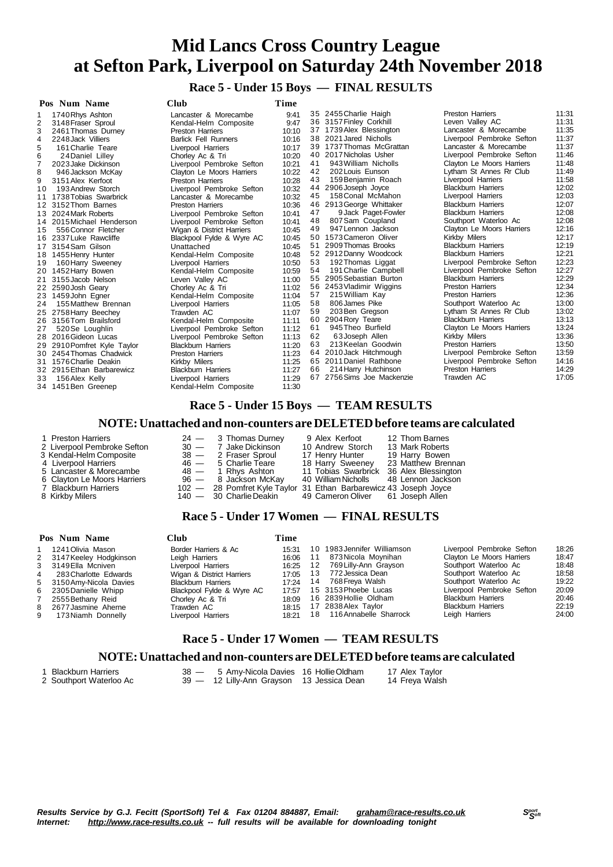**Race 5 - Under 15 Boys — FINAL RESULTS**

|     | Pos Num Name              | <b>Club</b>                 | Time  |    |                            |                           |       |
|-----|---------------------------|-----------------------------|-------|----|----------------------------|---------------------------|-------|
|     | 1740 Rhys Ashton          | Lancaster & Morecambe       | 9:41  |    | 35 2455 Charlie Haigh      | <b>Preston Harriers</b>   | 11:31 |
| 2   | 3148 Fraser Sproul        | Kendal-Helm Composite       | 9:47  |    | 36 3157 Finley Corkhill    | Leven Valley AC           | 11:31 |
|     | 2461 Thomas Durney        | <b>Preston Harriers</b>     | 10:10 |    | 37 1739 Alex Blessington   | Lancaster & Morecambe     | 11:35 |
| 4   | 2248 Jack Villiers        | <b>Barlick Fell Runners</b> | 10:16 |    | 38 2021 Jared Nicholls     | Liverpool Pembroke Sefton | 11:37 |
| 5   | 161 Charlie Teare         | Liverpool Harriers          | 10:17 |    | 39 1737 Thomas McGrattan   | Lancaster & Morecambe     | 11:37 |
| 6   | 24 Daniel Lilley          | Chorley Ac & Tri            | 10:20 |    | 40 2017 Nicholas Usher     | Liverpool Pembroke Sefton | 11:46 |
|     | 2023 Jake Dickinson       | Liverpool Pembroke Sefton   | 10:21 | 41 | 943 William Nicholls       | Clayton Le Moors Harriers | 11:48 |
| 8   | 946 Jackson McKay         | Clayton Le Moors Harriers   | 10:22 | 42 | 202 Louis Eunson           | Lytham St Annes Rr Club   | 11:49 |
| 9   | 3151 Alex Kerfoot         | <b>Preston Harriers</b>     | 10:28 | 43 | 159 Benjamin Roach         | Liverpool Harriers        | 11:58 |
| 10  | 193 Andrew Storch         | Liverpool Pembroke Sefton   | 10:32 |    | 44 2906 Joseph Joyce       | <b>Blackburn Harriers</b> | 12:02 |
| 11  | 1738 Tobias Swarbrick     | Lancaster & Morecambe       | 10:32 | 45 | 158 Conal McMahon          | Liverpool Harriers        | 12:03 |
|     | 12 3152 Thom Barnes       | <b>Preston Harriers</b>     | 10:36 |    | 46 2913 George Whittaker   | <b>Blackburn Harriers</b> | 12:07 |
| 13. | 2024 Mark Roberts         | Liverpool Pembroke Sefton   | 10:41 | 47 | 9 Jack Paget-Fowler        | <b>Blackburn Harriers</b> | 12:08 |
| 14  | 2015 Michael Henderson    | Liverpool Pembroke Sefton   | 10:41 | 48 | 807 Sam Coupland           | Southport Waterloo Ac     | 12:08 |
| 15  | 556 Connor Fletcher       | Wigan & District Harriers   | 10:45 | 49 | 947 Lennon Jackson         | Clayton Le Moors Harriers | 12:16 |
|     | 16 2337 Luke Rawcliffe    | Blackpool Fylde & Wyre AC   | 10:45 |    | 50 1573 Cameron Oliver     | Kirkby Milers             | 12:17 |
| 17  | 3154 Sam Gilson           | Unattached                  | 10:45 | 51 | 2909 Thomas Brooks         | <b>Blackburn Harriers</b> | 12:19 |
|     | 18 1455 Henry Hunter      | Kendal-Helm Composite       | 10:48 |    | 52 2912 Danny Woodcock     | <b>Blackburn Harriers</b> | 12:21 |
| 19  | 160 Harry Sweeney         | Liverpool Harriers          | 10:50 | 53 | 192 Thomas Liggat          | Liverpool Pembroke Sefton | 12:23 |
| 20  | 1452 Harry Bowen          | Kendal-Helm Composite       | 10:59 | 54 | 191 Charlie Campbell       | Liverpool Pembroke Sefton | 12:27 |
| 21  | 3155 Jacob Nelson         | Leven Valley AC             | 11:00 | 55 | 2905 Sebastian Burton      | <b>Blackburn Harriers</b> | 12:29 |
|     | 22 2590 Josh Geary        | Chorley Ac & Tri            | 11:02 |    | 56 2453 Vladimir Wiggins   | <b>Preston Harriers</b>   | 12:34 |
|     | 23 1459 John Egner        | Kendal-Helm Composite       | 11:04 | 57 | 215 William Kay            | <b>Preston Harriers</b>   | 12:36 |
| 24  | 155 Matthew Brennan       | Liverpool Harriers          | 11:05 | 58 | 806 James Pike             | Southport Waterloo Ac     | 13:00 |
|     | 25 2758 Harry Beechey     | Trawden AC                  | 11:07 | 59 | 203 Ben Gregson            | Lytham St Annes Rr Club   | 13:02 |
|     | 26 3156 Tom Brailsford    | Kendal-Helm Composite       | 11:11 | 60 | 2904 Rory Teare            | <b>Blackburn Harriers</b> | 13:13 |
| 27  | 520 Se Loughlin           | Liverpool Pembroke Sefton   | 11:12 | 61 | 945 Theo Burfield          | Clayton Le Moors Harriers | 13:24 |
|     | 28 2016 Gideon Lucas      | Liverpool Pembroke Sefton   | 11:13 | 62 | 63 Joseph Allen            | Kirkby Milers             | 13:36 |
|     | 2910 Pomfret Kyle Taylor  | <b>Blackburn Harriers</b>   | 11:20 | 63 | 213 Keelan Goodwin         | <b>Preston Harriers</b>   | 13:50 |
|     | 30 2454 Thomas Chadwick   | <b>Preston Harriers</b>     | 11:23 |    | 64 2010 Jack Hitchmough    | Liverpool Pembroke Sefton | 13:59 |
| 31  | 1576 Charlie Deakin       | Kirkby Milers               | 11:25 |    | 65 2011 Daniel Rathbone    | Liverpool Pembroke Sefton | 14:16 |
|     | 32 2915 Ethan Barbarewicz | <b>Blackburn Harriers</b>   | 11:27 | 66 | 214 Harry Hutchinson       | <b>Preston Harriers</b>   | 14:29 |
| 33  | 156 Alex Kelly            | Liverpool Harriers          | 11:29 |    | 67 2756 Sims Joe Mackenzie | Trawden AC                | 17:05 |
|     | 34 1451 Ben Greenep       | Kendal-Helm Composite       | 11:30 |    |                            |                           |       |

### **Race 5 - Under 15 Boys — TEAM RESULTS**

#### **NOTE:Unattached and non-counters are DELETEDbefore teams are calculated**

| 1 Preston Harriers          | $24 - 3$ Thomas Durney                                            | 9 Alex Kerfoot                    | 12 Thom Barnes      |
|-----------------------------|-------------------------------------------------------------------|-----------------------------------|---------------------|
| 2 Liverpool Pembroke Sefton | 30 - 7 Jake Dickinson                                             | 10 Andrew Storch                  | 13 Mark Roberts     |
| 3 Kendal-Helm Composite     | 38 - 2 Fraser Sproul                                              | 17 Henry Hunter                   | 19 Harry Bowen      |
| 4 Liverpool Harriers        | 46 - 5 Charlie Teare                                              | 18 Harry Sweeney                  | 23 Matthew Brennan  |
| 5 Lancaster & Morecambe     | $48 - 1$ Rhvs Ashton                                              | 11 Tobias Swarbrick               | 36 Alex Blessington |
| 6 Clayton Le Moors Harriers | 96 — 8 Jackson McKav                                              | 40 William Nicholls               | 48 Lennon Jackson   |
| 7 Blackburn Harriers        | 102 - 28 Pomfret Kyle Taylor 31 Ethan Barbarewicz 43 Joseph Joyce |                                   |                     |
| 8 Kirkby Milers             | 140 — 30 Charlie Deakin                                           | 49 Cameron Oliver 61 Joseph Allen |                     |

### **Race 5 - Under 17 Women — FINAL RESULTS**

|                | Pos Num Name             | Club                      | Time  |    |                             |                           |       |
|----------------|--------------------------|---------------------------|-------|----|-----------------------------|---------------------------|-------|
|                | 1 1241 Olivia Mason      | Border Harriers & Ac      | 15:31 |    | 10 1983 Jennifer Williamson | Liverpool Pembroke Sefton | 18:26 |
|                | 2 3147 Keeley Hodgkinson | Leigh Harriers            | 16:06 | 11 | 873 Nicola Moynihan         | Clayton Le Moors Harriers | 18:47 |
|                | 3 3149 Ella Mcniven      | Liverpool Harriers        | 16:25 | 12 | 769 Lilly-Ann Grayson       | Southport Waterloo Ac     | 18:48 |
| $\overline{4}$ | 283 Charlotte Edwards    | Wigan & District Harriers | 17:05 | 13 | 772 Jessica Dean            | Southport Waterloo Ac     | 18:58 |
|                | 5 3150 Amy-Nicola Davies | <b>Blackburn Harriers</b> | 17.24 | 14 | 768 Freva Walsh             | Southport Waterloo Ac     | 19:22 |
|                | 6 2305 Danielle Whipp    | Blackpool Fylde & Wyre AC | 17:57 |    | 15 3153 Phoebe Lucas        | Liverpool Pembroke Sefton | 20:09 |
|                | 7 2555 Bethany Reid      | Chorley Ac & Tri          | 18:09 |    | 16 2839 Hollie Oldham       | <b>Blackburn Harriers</b> | 20:46 |
|                | 8 2677 Jasmine Aherne    | Trawden AC                | 18:15 |    | 17 2838 Alex Taylor         | <b>Blackburn Harriers</b> | 22:19 |
| 9              | 173 Niamh Donnelly       | Liverpool Harriers        | 18:21 |    | 18 116 Annabelle Sharrock   | Leigh Harriers            | 24:00 |

### **Race 5 - Under 17 Women — TEAM RESULTS**

#### **NOTE:Unattached and non-counters are DELETEDbefore teams are calculated**

| 1 Blackburn Harriers    | 38 - 5 Amv-Nicola Davies 16 Hollie Oldham | 17 Alex Tavlor |
|-------------------------|-------------------------------------------|----------------|
| 2 Southport Waterloo Ac | 39 — 12 Lilly-Ann Grayson 13 Jessica Dean | 14 Freya Walsh |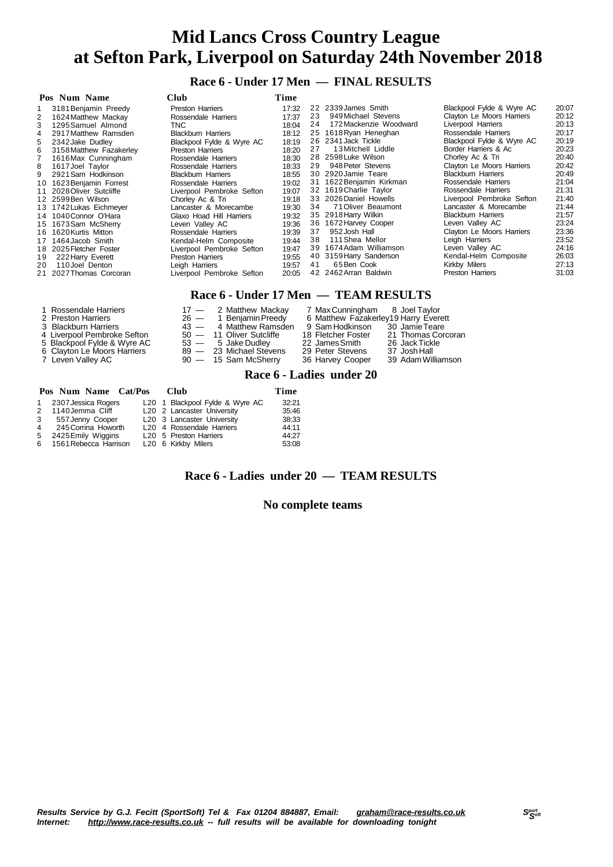**Race 6 - Under 17 Men — FINAL RESULTS**

|    | Pos Num Name            | <b>Club</b>               | Time  |    |                          |                           |       |
|----|-------------------------|---------------------------|-------|----|--------------------------|---------------------------|-------|
|    | 3181 Benjamin Preedy    | Preston Harriers          | 17:32 |    | 22 2339 James Smith      | Blackpool Fylde & Wyre AC | 20:07 |
| 2  | 1624 Matthew Mackay     | Rossendale Harriers       | 17:37 | 23 | 949 Michael Stevens      | Clayton Le Moors Harriers | 20:12 |
| 3  | 1295 Samuel Almond      | TNC.                      | 18:04 | 24 | 172 Mackenzie Woodward   | Liverpool Harriers        | 20:13 |
| 4  | 2917 Matthew Ramsden    | <b>Blackburn Harriers</b> | 18:12 |    | 25 1618 Ryan Heneghan    | Rossendale Harriers       | 20:17 |
| 5  | 2342 Jake Dudley        | Blackpool Fylde & Wyre AC | 18:19 |    | 26 2341 Jack Tickle      | Blackpool Fylde & Wyre AC | 20:19 |
| 6  | 3158 Matthew Fazakerley | Preston Harriers          | 18:20 | 27 | 13 Mitchell Liddle       | Border Harriers & Ac      | 20:23 |
|    | 1616 Max Cunningham     | Rossendale Harriers       | 18:30 |    | 28 2598 Luke Wilson      | Chorley Ac & Tri          | 20:40 |
| 8  | 1617 Joel Taylor        | Rossendale Harriers       | 18:33 | 29 | 948 Peter Stevens        | Clayton Le Moors Harriers | 20:42 |
| 9  | 2921 Sam Hodkinson      | <b>Blackburn Harriers</b> | 18:55 |    | 30 2920 Jamie Teare      | <b>Blackburn Harriers</b> | 20:49 |
| 10 | 1623 Benjamin Forrest   | Rossendale Harriers       | 19:02 |    | 31 1622 Benjamin Kirkman | Rossendale Harriers       | 21:04 |
| 11 | 2028 Oliver Sutcliffe   | Liverpool Pembroke Sefton | 19:07 |    | 32 1619 Charlie Taylor   | Rossendale Harriers       | 21:31 |
|    | 12 2599 Ben Wilson      | Chorley Ac & Tri          | 19:18 |    | 33 2026 Daniel Howells   | Liverpool Pembroke Sefton | 21:40 |
|    | 13 1742 Lukas Eichmeyer | Lancaster & Morecambe     | 19:30 | 34 | 71 Oliver Beaumont       | Lancaster & Morecambe     | 21:44 |
|    | 14 1040 Connor O'Hara   | Glaxo Hoad Hill Harriers  | 19:32 |    | 35 2918 Harry Wilkin     | <b>Blackburn Harriers</b> | 21:57 |
|    | 15 1673 Sam McSherry    | Leven Vallev AC           | 19:36 |    | 36 1672 Harvey Cooper    | Leven Vallev AC           | 23:24 |
|    | 16 1620 Kurtis Mitton   | Rossendale Harriers       | 19:39 | 37 | 952 Josh Hall            | Clayton Le Moors Harriers | 23:36 |
| 17 | 1464 Jacob Smith        | Kendal-Helm Composite     | 19:44 | 38 | 111 Shea Mellor          | Leigh Harriers            | 23:52 |
|    | 18 2025 Fletcher Foster | Liverpool Pembroke Sefton | 19:47 |    | 39 1674 Adam Williamson  | Leven Valley AC           | 24:16 |
| 19 | 222 Harry Everett       | <b>Preston Harriers</b>   | 19:55 |    | 40 3159 Harry Sanderson  | Kendal-Helm Composite     | 26:03 |
| 20 | 110 Joel Denton         | Leigh Harriers            | 19:57 | 41 | 65 Ben Cook              | Kirkby Milers             | 27:13 |
|    | 21 2027 Thomas Corcoran | Liverpool Pembroke Sefton | 20:05 |    | 42 2462 Arran Baldwin    | Preston Harriers          | 31:03 |

### **Race 6 - Under 17 Men — TEAM RESULTS**

| 1 Rossendale Harriers<br>2 Preston Harriers<br>3 Blackburn Harriers<br>4 Liverpool Pembroke Sefton<br>5 Blackpool Fylde & Wyre AC<br>6 Clayton Le Moors Harriers<br>7 Leven Valley AC | 17 - 2 Matthew Mackay<br>$26 - 1$ Benjamin Preedy<br>43 - 4 Matthew Ramsden<br>$50 - 11$ Oliver Sutcliffe<br>53 - 5 Jake Dudley<br>89 - 23 Michael Stevens<br>$90 - 15$ Sam McSherry | 7 Max Cunningham 8 Joel Taylor<br>6 Matthew Fazakerley19 Harry Everett<br>9 Sam Hodkinson 30 Jamie Teare<br>18 Fletcher Foster<br>22 James Smith<br>29 Peter Stevens<br>36 Harvey Cooper | 21 Thomas Corcoran<br>26 Jack Tickle<br>37 Josh Hall<br>39 Adam Williamson |
|---------------------------------------------------------------------------------------------------------------------------------------------------------------------------------------|--------------------------------------------------------------------------------------------------------------------------------------------------------------------------------------|------------------------------------------------------------------------------------------------------------------------------------------------------------------------------------------|----------------------------------------------------------------------------|
|                                                                                                                                                                                       |                                                                                                                                                                                      |                                                                                                                                                                                          |                                                                            |

#### **Race 6 - Ladies under 20**

|              | Pos Num Name Cat/Pos    | <b>Club</b>                        | Time  |
|--------------|-------------------------|------------------------------------|-------|
| $\mathbf{1}$ | 2307 Jessica Rogers     | L20 1 Blackpool Fylde & Wyre AC    | 32:21 |
| 2            | 1140 Jemma Cliff        | L20 2 Lancaster University         | 35:46 |
|              | 3 557 Jenny Cooper      | L20 3 Lancaster University         | 38:33 |
| 4            | 245 Corrina Howorth     | L20 4 Rossendale Harriers          | 44:11 |
| 5            | 2425 Emily Wiggins      | L <sub>20</sub> 5 Preston Harriers | 44:27 |
|              | 6 1561 Rebecca Harrison | L20 6 Kirkby Milers                | 53:08 |

### **Race 6 - Ladies under 20 — TEAM RESULTS**

#### **No complete teams**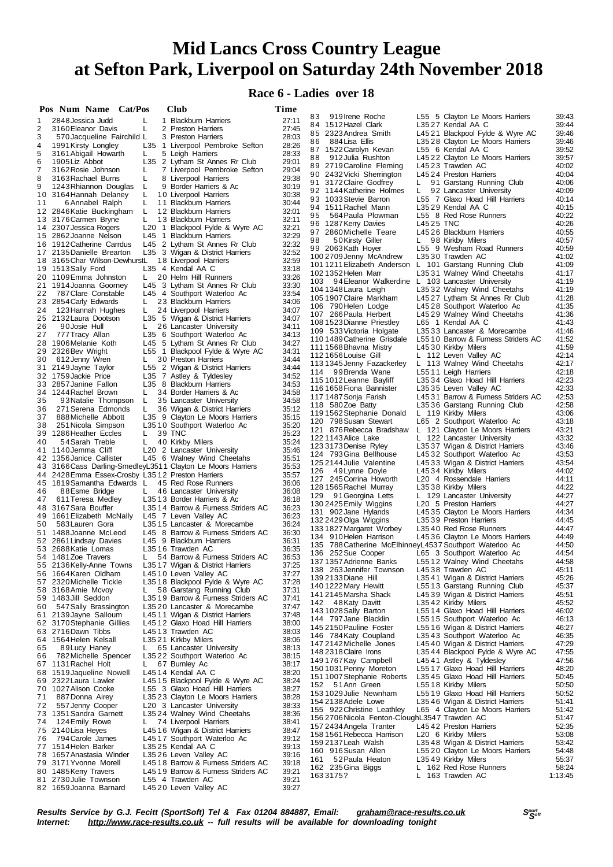## **Race 6 - Ladies over 18**

|          | Pos Num Name Cat/Pos                                         |        | Club                                                                      | Time           |                                                           |           |                                                                       |                |
|----------|--------------------------------------------------------------|--------|---------------------------------------------------------------------------|----------------|-----------------------------------------------------------|-----------|-----------------------------------------------------------------------|----------------|
| 1        | 2848 Jessica Judd                                            | L      | 1 Blackburn Harriers                                                      | 27:11          | 919 Irene Roche<br>83                                     |           | L55 5 Clayton Le Moors Harriers                                       | 39:43          |
| 2        | 3160 Eleanor Davis                                           | L      | 2 Preston Harriers                                                        | 27:45          | 84 1512 Hazel Clark<br>85 2323 Andrea Smith               |           | L3527 Kendal AA C<br>L4521 Blackpool Fylde & Wyre AC                  | 39:44<br>39:46 |
| 3        | 570 Jacqueline Fairchild L                                   |        | 3 Preston Harriers                                                        | 28:03          | 884 Lisa Ellis<br>86                                      |           | L3528 Clayton Le Moors Harriers                                       | 39:46          |
| 4<br>5   | 1991 Kirsty Longley<br>3161 Abigail Howarth                  | L.     | L35 1 Liverpool Pembroke Sefton<br>5 Leigh Harriers                       | 28:26<br>28:33 | 87 1522 Carolyn Kevan                                     |           | L55 6 Kendal AA C                                                     | 39:52          |
| 6        | 1905 Liz Abbot                                               |        | L35 2 Lytham St Annes Rr Club                                             | 29:01          | 88<br>912 Julia Rushton                                   |           | L4522 Clayton Le Moors Harriers                                       | 39:57          |
| 7        | 3162 Rosie Johnson                                           | L      | 7 Liverpool Pembroke Sefton                                               | 29:04          | 89 2719 Caroline Fleming                                  |           | L4523 Trawden AC                                                      | 40:02          |
| 8        | 3163 Rachael Burns                                           | L      | 8 Liverpool Harriers                                                      | 29:38          | 90 2432 Vicki Sherrington                                 | L.        | L4524 Preston Harriers                                                | 40:04<br>40:06 |
| 9        | 1243 Rhiannon Douglas                                        | L      | 9 Border Harriers & Ac                                                    | 30:19          | 91 3172 Claire Godfrey<br>92 1144 Katherine Holmes        | L.        | 91 Garstang Running Club<br>92 Lancaster University                   | 40:09          |
| 10       | 3164 Hannah Delaney                                          | L      | 10 Liverpool Harriers                                                     | 30:38          | 93 1033 Stevie Barron                                     |           | L55 7 Glaxo Hoad Hill Harriers                                        | 40:14          |
| 11       | 6 Annabel Ralph<br>12 2846 Katie Buckingham                  | L<br>L | 11 Blackburn Harriers<br>12 Blackburn Harriers                            | 30:44<br>32:01 | 94 1511 Rachel Mann                                       |           | L3529 Kendal AA C                                                     | 40:15          |
|          | 13 3176 Carmen Bryne                                         | L.     | 13 Blackburn Harriers                                                     | 32:11          | 95<br>564 Paula Plowman                                   |           | L55 8 Red Rose Runners                                                | 40:22          |
|          | 14 2307 Jessica Rogers                                       |        | L20 1 Blackpool Fylde & Wyre AC                                           | 32:21          | 96 1287 Kerry Davies                                      | L4525 TNC |                                                                       | 40:26          |
|          | 15 2862 Joanne Nelson                                        |        | L45 1 Blackburn Harriers                                                  | 32:29          | 97 2860 Michelle Teare<br>98<br>50 Kirsty Giller          | L.        | L4526 Blackburn Harriers<br>98 Kirkby Milers                          | 40:55<br>40:57 |
|          | 16 1912 Catherine Carrdus                                    |        | L45 2 Lytham St Annes Rr Club                                             | 32:32          | 99 2063Kath Hoyer                                         |           | L55 9 Wesham Road Runners                                             | 40:59          |
|          | 17 2135 Danielle Brearton                                    |        | L35 3 Wigan & District Harriers                                           | 32:52          | 100 2709 Jenny McAndrew                                   |           | L3530 Trawden AC                                                      | 41:02          |
|          | 18 3165 Char Wilson-DewhurstL<br>19 1513 Sally Ford          |        | 18 Liverpool Harriers<br>L35 4 Kendal AA C                                | 32:59<br>33:18 | 101 1211 Elizabeth Anderson L 101 Garstang Running Club   |           |                                                                       | 41:09          |
|          | 20 1109 Emma Johnston                                        | L.     | 20 Helm Hill Runners                                                      | 33:26          | 102 1352 Helen Marr                                       |           | L3531 Walney Wind Cheetahs                                            | 41:17          |
|          | 21 1914 Joanna Goorney                                       |        | L45 3 Lytham St Annes Rr Club                                             | 33:30          | 103 -<br>94 Eleanor Walkerdine L 103 Lancaster University |           |                                                                       | 41:19          |
| 22       | 787 Clare Constable                                          |        | L45 4 Southport Waterloo Ac                                               | 33:54          | 104 1348 Laura Leigh<br>105 1907 Claire Markham           |           | L3532 Walney Wind Cheetahs<br>L4527 Lytham St Annes Rr Club           | 41:19<br>41:28 |
|          | 23 2854 Carly Edwards                                        | L.     | 23 Blackburn Harriers                                                     | 34:06          | 106 790 Helen Lodge                                       |           | L4528 Southport Waterloo Ac                                           | 41:35          |
| 24       | 123 Hannah Hughes                                            | L.     | 24 Liverpool Harriers                                                     | 34:07<br>34:07 | 107 266 Paula Herbert                                     |           | L4529 Walney Wind Cheetahs                                            | 41:36          |
| 26       | 25 2132 Laura Dootson<br>90 Josie Hull                       | L.     | L35 5 Wigan & District Harriers<br>26 Lancaster University                | 34:11          | 1081523Dianne Priestley                                   |           | L65 1 Kendal AA C                                                     | 41:43          |
| 27       | 777 Tracy Allan                                              |        | L35 6 Southport Waterloo Ac                                               | 34:13          | 109 533 Victoria Holgate                                  |           | L3533 Lancaster & Morecambe                                           | 41:46          |
| 28       | 1906 Melanie Koth                                            |        | L45 5 Lytham St Annes Rr Club                                             | 34:27          | 1101489 Catherine Grisdale                                |           | L5510 Barrow & Furness Striders AC                                    | 41:52          |
| 29       | 2326 Bev Wright                                              |        | L55 1 Blackpool Fylde & Wyre AC                                           | 34:31          | 1111568 Bhavna Mistry<br>1121656 Louise Gill              |           | L4530 Kirkby Milers<br>L 112 Leven Valley AC                          | 41:59<br>42:14 |
| 30       | 612 Jenny Wren                                               | L.     | 30 Preston Harriers                                                       | 34:44          | 113 1345 Jenny Fazackerley                                |           | L 113 Walney Wind Cheetahs                                            | 42:17          |
|          | 31 2149 Jayne Taylor<br>32 1759 Jackie Price                 |        | L55 2 Wigan & District Harriers<br>L35 7 Astley & Tyldesley               | 34:44<br>34:52 | 114 99 Brenda Wane                                        |           | L5511 Leigh Harriers                                                  | 42:18          |
|          | 33 2857 Janine Fallon                                        |        | L35 8 Blackburn Harriers                                                  | 34:53          | 115 1012 Leanne Bayliff                                   |           | L3534 Glaxo Hoad Hill Harriers                                        | 42:23          |
|          | 34 1244 Rachel Brown                                         | L.     | 34 Border Harriers & Ac                                                   | 34:58          | 116 1658 Fiona Bannister                                  |           | L3535 Leven Valley AC                                                 | 42:33          |
| 35       | 93 Natalie Thompson                                          | L.     | 35 Lancaster University                                                   | 34:58          | 117 1487 Sonja Farish<br>118 580Zoe Batty                 |           | L4531 Barrow & Furness Striders AC<br>L3536 Garstang Running Club     | 42:53<br>42:58 |
| 36       | 271 Serena Edmonds                                           | L.     | 36 Wigan & District Harriers                                              | 35:12          | 1191562 Stephanie Donald                                  |           | L 119 Kirkby Milers                                                   | 43:06          |
| 37       | 888 Michelle Abbott                                          |        | L35 9 Clayton Le Moors Harriers                                           | 35:15          | 120 798 Susan Stewart                                     |           | L65 2 Southport Waterloo Ac                                           | 43:18          |
| 38<br>39 | 251 Nicola Simpson<br>1286 Heather Eccles                    | L.     | L3510 Southport Waterloo Ac<br>39 TNC                                     | 35:20<br>35:23 | 121 876 Rebecca Bradshaw                                  |           | L 121 Clayton Le Moors Harriers                                       | 43:21          |
| 40       | 54 Sarah Treble                                              | L      | 40 Kirkby Milers                                                          | 35:24          | 122 1143 Alice Lake                                       |           | L 122 Lancaster University                                            | 43:32          |
|          | 41 1140 Jemma Cliff                                          |        | L <sub>20</sub> 2 Lancaster University                                    | 35:46          | 123 3173 Denise Ryley                                     |           | L3537 Wigan & District Harriers                                       | 43:46          |
|          | 42 1356 Janice Callister                                     |        | L45 6 Walney Wind Cheetahs                                                | 35:51          | 124 793 Gina Bellhouse<br>125 2144 Julie Valentine        |           | L4532 Southport Waterloo Ac<br>L4533 Wigan & District Harriers        | 43:53<br>43:54 |
|          | 43 3166 Cass Darling-Smedley L3511 Clayton Le Moors Harriers |        |                                                                           | 35:53          | 49 Lynne Doyle<br>126                                     |           | L4534 Kirkby Milers                                                   | 44:02          |
|          | 44 2428 Emma Essex-Crosby L3512 Preston Harriers             |        |                                                                           | 35:57          | 127 245 Corrina Howorth                                   |           | L <sub>20</sub> 4 Rossendale Harriers                                 | 44:11          |
| 46       | 45 1819 Samantha Edwards L<br>88Esme Bridge                  | L.     | 45 Red Rose Runners<br>46 Lancaster University                            | 36:06<br>36:08 | 128 1565 Rachel Murray                                    |           | L3538 Kirkby Milers                                                   | 44:22          |
| 47       | 611 Teresa Medley                                            |        | L3513 Border Harriers & Ac                                                | 36:18          | 129<br>91 Georgina Letts                                  |           | L 129 Lancaster University                                            | 44:27          |
|          | 48 3167 Sara Bouffer                                         |        | L3514 Barrow & Furness Striders AC                                        | 36:23          | 130 2425 Emily Wiggins                                    |           | L <sub>20</sub> 5 Preston Harriers<br>L4535 Clayton Le Moors Harriers | 44:27<br>44:34 |
|          | 49 1661 Elizabeth McNally                                    |        | L45 7 Leven Valley AC                                                     | 36:23          | 131 902 Jane Hylands<br>132 2429 Olga Wiggins             |           | L3539 Preston Harriers                                                | 44:45          |
| 50       | 583 Lauren Gora                                              |        | L3515 Lancaster & Morecambe                                               | 36:24          | 1331827 Margaret Worbey                                   |           | L3540 Red Rose Runners                                                | 44:47          |
|          | 51 1488 Joanne McLeod                                        |        | L45 8 Barrow & Furness Striders AC<br>L45 9 Blackburn Harriers            | 36:30<br>36:31 | 134 910 Helen Harrison                                    |           | L4536 Clayton Le Moors Harriers                                       | 44:49          |
|          | 52 2861 Lindsay Davies<br>53 2688 Katie Lomas                |        | L3516 Trawden AC                                                          | 36:35          | 135 788 Catherine McElhinney L4537 Southport Waterloo Ac  |           |                                                                       | 44:50          |
|          | 54 1481Zoe Travers                                           | L.     | 54 Barrow & Furness Striders AC                                           | 36:53          | 136 252 Sue Cooper                                        |           | L65 3 Southport Waterloo Ac                                           | 44:54          |
|          | 55 2136 Kelly-Anne Towns L3517 Wigan & District Harriers     |        |                                                                           | 37:25          | 137 1357 Adrienne Banks<br>138 263 Jennifer Townson       |           | L5512 Walney Wind Cheetahs<br>L4538 Trawden AC                        | 44:58<br>45:11 |
| 56       | 1664 Karen Oldham                                            |        | L4510 Leven Valley AC                                                     | 37:27          | 139 2133 Diane Hill                                       |           | L3541 Wigan & District Harriers                                       | 45:26          |
|          | 57 2320 Michelle Tickle                                      |        | L3518 Blackpool Fylde & Wyre AC<br>58 Garstang Running Club               | 37:28          | 140 1222 Mary Hewitt                                      |           | L5513 Garstang Running Club                                           | 45:37          |
| 58<br>59 | 3168 Amie Mcvoy<br>1483Jill Seddon                           | L.     | L3519 Barrow & Furness Striders AC                                        | 37:31<br>37:41 | 141 2145 Marsha Shack                                     |           | L4539 Wigan & District Harriers                                       | 45:51          |
| 60       | 547 Sally Brassington                                        |        | L3520 Lancaster & Morecambe                                               | 37:47          | 142 48 Katy Davitt                                        |           | L3542 Kirkby Milers                                                   | 45:52          |
|          | 61 2139 Jayne Salloum                                        |        | L45 11 Wigan & District Harriers                                          | 37:48          | 143 1028 Sally Barton<br>144 797 Jane Blacklin            |           | L5514 Glaxo Hoad Hill Harriers<br>L5515 Southport Waterloo Ac         | 46:02<br>46:13 |
|          | 62 3170 Stephanie Gillies                                    |        | L4512 Glaxo Hoad Hill Harriers                                            | 38:00          | 145 2150 Pauline Foster                                   |           | L5516 Wigan & District Harriers                                       | 46:27          |
|          | 63 2716 Dawn Tibbs                                           |        | L4513 Trawden AC                                                          | 38:03          | 146 784 Katy Coupland                                     |           | L3543 Southport Waterloo Ac                                           | 46:35          |
| 65       | 64 1564 Helen Kelsall<br>89 Lucy Haney                       | L.     | L3521 Kirkby Milers<br>65 Lancaster University                            | 38:06<br>38:13 | 147 2142 Michelle Jones                                   |           | L4540 Wigan & District Harriers                                       | 47:29          |
| 66       | 782 Michelle Spencer                                         |        | L3522 Southport Waterloo Ac                                               | 38:15          | 148 2318 Claire Irons                                     |           | L3544 Blackpool Fylde & Wyre AC                                       | 47:55          |
|          | 67 1131 Rachel Holt                                          | L.     | 67 Burnley Ac                                                             | 38:17          | 149 1767 Kay Campbell                                     |           | L4541 Astley & Tyldesley                                              | 47:56          |
|          | 68 1519 Jaqueline Nowell                                     |        | L4514 Kendal AA C                                                         | 38:20          | 150 1031 Penny Moreton<br>151 1007 Stephanie Roberts      |           | L5517 Glaxo Hoad Hill Harriers<br>L3545 Glaxo Hoad Hill Harriers      | 48:20<br>50:45 |
|          | 69 2322 Laura Lawler                                         |        | L4515 Blackpool Fylde & Wyre AC                                           | 38:24          | 152 51 Ann Green                                          |           | L5518 Kirkby Milers                                                   | 50:50          |
|          | 70 1027 Alison Cooke                                         |        | L55 3 Glaxo Hoad Hill Harriers                                            | 38:27          | 1531029 Julie Newnham                                     |           | L5519 Glaxo Hoad Hill Harriers                                        | 50:52          |
| 71<br>72 | 887 Donna Airey<br>557 Jenny Cooper                          |        | L3523 Clayton Le Moors Harriers<br>L <sub>20</sub> 3 Lancaster University | 38:28<br>38:33 | 154 2138 Adele Lowe                                       |           | L3546 Wigan & District Harriers                                       | 51:41          |
| 73       | 1351 Sandra Garnett                                          |        | L3524 Walney Wind Cheetahs                                                | 38:36          | 155 922 Christine Leathley                                |           | L65 4 Clayton Le Moors Harriers                                       | 51:42          |
| 74       | 124 Emily Rowe                                               | L.     | 74 Liverpool Harriers                                                     | 38:41          | 156 2706 Nicola Fenton-CloughL3547 Trawden AC             |           |                                                                       | 51:47          |
|          | 75 2140 Lisa Heyes                                           |        | L4516 Wigan & District Harriers                                           | 38:47          | 157 2434 Angela Tranter<br>158 1561 Rebecca Harrison      |           | L4542 Preston Harriers<br>L <sub>20</sub> 6 Kirkby Milers             | 52:35<br>53:08 |
| 76       | 794 Carole James                                             |        | L4517 Southport Waterloo Ac                                               | 39:12          | 159 2137 Leah Walsh                                       |           | L3548 Wigan & District Harriers                                       | 53:42          |
|          | 77 1514 Helen Barker                                         |        | L3525 Kendal AA C                                                         | 39:13          | 160 916 Susan Allen                                       |           | L5520 Clayton Le Moors Harriers                                       | 54:48          |
| 78<br>79 | 1657 Anastasia Winder<br>3171 Yvonne Morell                  |        | L3526 Leven Valley AC<br>L4518 Barrow & Furness Striders AC               | 39:16<br>39:18 | 161<br>52 Paula Heaton                                    |           | L3549 Kirkby Milers                                                   | 55:37          |
|          | 80 1485 Kerry Travers                                        |        | L4519 Barrow & Furness Striders AC                                        | 39:21          | 162 235 Gina Biggs                                        |           | L 162 Red Rose Runners                                                | 58:24          |
|          | 81 2730 Julie Townson                                        |        | L55 4 Trawden AC                                                          | 39:21          | 1633175?                                                  |           | 163 Trawden AC                                                        | 1:13:45        |
|          | 82 1659 Joanna Barnard                                       |        | L4520 Leven Valley AC                                                     | 39:27          |                                                           |           |                                                                       |                |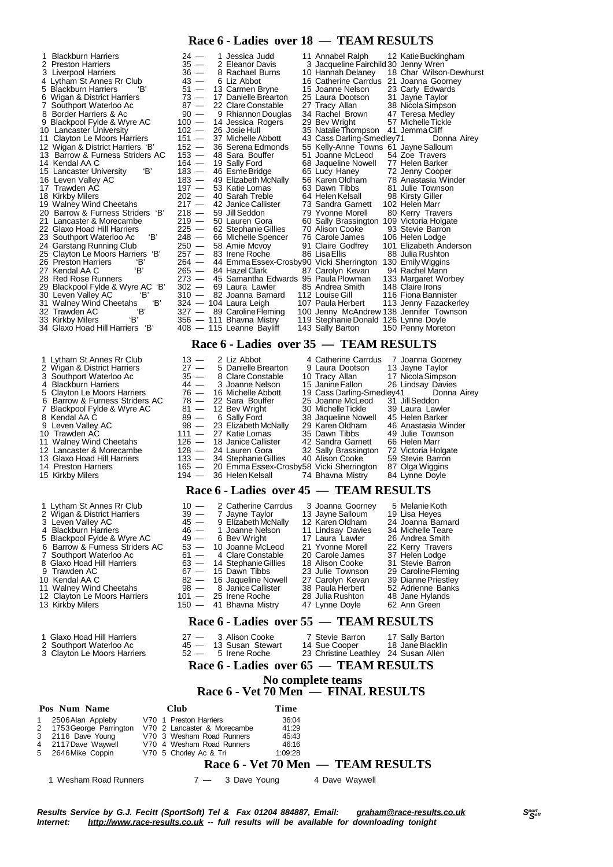### **Race 6 - Ladies over 18 — TEAM RESULTS**

| 1 Blackburn Harriers                                 | $24 -$  | 1 Jessica Judd                                       | 11 Annabel Ralph                                                                | 12 Katie Buckingham                     |
|------------------------------------------------------|---------|------------------------------------------------------|---------------------------------------------------------------------------------|-----------------------------------------|
| 2 Preston Harriers                                   | $35 -$  | 2 Eleanor Davis                                      | 3 Jacqueline Fairchild 30 Jenny Wren                                            |                                         |
| 3 Liverpool Harriers                                 | $36 -$  | 8 Rachael Burns                                      | 10 Hannah Delaney                                                               | 18 Char Wilson-Dew                      |
| 4 Lytham St Annes Rr Club                            | $43 -$  | 6 Liz Abbot                                          | 16 Catherine Carrdus                                                            | 21 Joanna Goorney                       |
| 5 Blackburn Harriers                                 | $51 -$  | 13 Carmen Bryne                                      | 15 Joanne Nelson                                                                | 23 Carly Edwards                        |
| 6 Wigan & District Harriers                          | $73 -$  | 17 Danielle Brearton                                 | 25 Laura Dootson                                                                | 31 Jayne Taylor                         |
| Southport Waterloo Ac                                | $87 -$  | 22 Clare Constable                                   | 27 Tracy Allan                                                                  | 38 Nicola Simpson                       |
| 8 Border Harriers & Ac                               | $90 -$  | 9 Rhiannon Douglas                                   | 34 Rachel Brown                                                                 | 47 Teresa Medley                        |
| 9 Blackpool Fylde & Wyre AC                          | $100 -$ | 14 Jessica Rogers                                    | 29 Bev Wright                                                                   | 57 Michelle Tickle                      |
| 10 Lancaster University                              | $102 -$ | 26 Josie Hull                                        | 35 Natalie Thompson                                                             | 41 Jemma Cliff                          |
| 11 Clayton Le Moors Harriers                         | $151 -$ | 37 Michelle Abbott                                   | 43 Cass Darling-Smedley71                                                       | Donna A                                 |
| 12 Wigan & District Harriers 'B'                     | $152 -$ | 36 Serena Edmonds                                    | 55 Kelly-Anne Towns 61 Jayne Salloum                                            |                                         |
| 13 Barrow & Furness Striders AC                      | $153 -$ | 48 Sara Bouffer                                      | 51 Joanne McLeod                                                                | 54 Zoe Travers                          |
| 14 Kendal AA C                                       | $164 -$ | 19 Sally Ford                                        | 68 Jaqueline Nowell                                                             | 77 Helen Barker                         |
| 'В'<br>15 Lancaster University                       | $183 -$ | 46 Esme Bridge                                       | 65 Lucy Haney                                                                   | 72 Jenny Cooper                         |
| 16 Leven Valley AC                                   | $183 -$ | 49 Elizabeth McNally                                 | 56 Karen Oldham                                                                 | 78 Anastasia Winder                     |
| 17 Trawden AC                                        | $197 -$ | 53 Katie Lomas                                       | 63 Dawn Tibbs                                                                   | 81 Julie Townson                        |
| 18 Kirkby Milers                                     | $202 -$ | 40 Sarah Treble                                      | 64 Helen Kelsall                                                                | 98 Kirsty Giller                        |
| 19 Walney Wind Cheetahs                              | $217 -$ | 42 Janice Callister                                  | 73 Sandra Garnett                                                               | 102 Helen Marr                          |
| 20 Barrow & Furness Striders 'B'                     | 218 $-$ | 59 Jill Seddon                                       | 79 Yvonne Morell                                                                | 80 Kerry Travers                        |
| 21 Lancaster & Morecambe                             | $219 -$ | 50 Lauren Gora                                       | 60 Sally Brassington                                                            | 109 Victoria Holgate                    |
| 22 Glaxo Hoad Hill Harriers                          | $225 -$ | 62 Stephanie Gillies                                 | 70 Alison Cooke                                                                 | 93 Stevie Barron                        |
| 'B'<br>23 Southport Waterloo Ac                      | $248 -$ | 66 Michelle Spencer                                  | 76 Carole James                                                                 | 106 Helen Lodge                         |
| 24 Garstang Running Club                             | $250 -$ | 58 Amie Mcvoy                                        | 91 Claire Godfrey                                                               | 101 Elizabeth Anderso                   |
| 25 Clayton Le Moors Harriers 'B'                     | $257 -$ | 83 Irene Roche                                       | 86 Lisa Ellis                                                                   | 88 Julia Rushton                        |
| 'В'<br>26 Preston Harriers                           | $264 -$ | 44 Emma Essex-Crosby90 Vicki Sherrington             |                                                                                 | 130 Emily Wiggins                       |
| 'В'<br>27 Kendal AA C                                | $265 -$ | 84 Hazel Clark                                       | 87 Carolyn Kevan                                                                | 94 Rachel Mann                          |
| 28 Red Rose Runners                                  | 273 —   | 45 Samantha Edwards 95 Paula Plowman                 |                                                                                 |                                         |
|                                                      | $302 -$ | 69 Laura Lawler                                      | 85 Andrea Smith                                                                 | 133 Margaret Worbey<br>148 Claire Irons |
| 29 Blackpool Fylde & Wyre AC 'B'<br>'В'              | $310 -$ | 82 Joanna Barnard                                    | 112 Louise Gill                                                                 | 116 Fiona Bannister                     |
| 30 Leven Valley AC<br>'В'<br>31 Walney Wind Cheetahs |         | 324 — 104 Laura Leigh                                | 107 Paula Herbert                                                               |                                         |
| 'В'                                                  |         |                                                      |                                                                                 | 113 Jenny Fazackerle                    |
| 32 Trawden AC<br>'В'<br>33 Kirkby Milers             |         | 327 - 89 Caroline Fleming<br>356 — 111 Bhavna Mistry | 100 Jenny McAndrew 138 Jennifer Townsor<br>119 Stephanie Donald 126 Lynne Doyle |                                         |
| 'В'<br>34 Glaxo Hoad Hill Harriers                   |         |                                                      |                                                                                 |                                         |
|                                                      |         | 408 - 115 Leanne Bayliff                             | 143 Sally Barton                                                                | 150 Penny Moreton                       |

- 3 Southport Waterloo Ac<br>4 Blackburn Harriers 4 Blackburn Harriers<br>5 Clayton I e Moors H Clayton Le Moors Harri 6 Barrow & Furness Strid 9 Leven Valley AC<br>10 Trawden AC 10 Trawden AC<br>11 Walney Wind 11 Walney Wind Cheetah 12 Lancaster & Morecaml 15 Kirkby Milers
- 
- 1 Lytham St Annes Rr Club<br>2 Wigan & District Harriers
- **Wigan & District Harriers**
- 
- 3 Leven Valley AC<br>4 Blackburn Harrier<br>5 Blackpool Eylde 8
- 
- 
- 
- 9 Trawden AC
- 
- 
- 12 Clayton Le Moors Harriers 13 Kirkby Milers
- 
- 
- 

#### **Race 6 - Ladies over 35 — TEAM RESULTS**

| 1 Lytham St Annes Rr Club      | $13 -$  | 2 Liz Abbot                                    | 4 Catherine Carrdus       | 7 Joanna Goorney    |
|--------------------------------|---------|------------------------------------------------|---------------------------|---------------------|
| 2 Wigan & District Harriers    | $27 -$  | 5 Danielle Brearton                            | 9 Laura Dootson           | 13 Jayne Taylor     |
| 3 Southport Waterloo Ac        | $35 -$  | 8 Clare Constable                              | 10 Tracy Allan            | 17 Nicola Simpson   |
| 4 Blackburn Harriers           | 44 —    | 3 Joanne Nelson                                | 15 Janine Fallon          | 26 Lindsay Davies   |
| 5 Clayton Le Moors Harriers    |         | 76 - 16 Michelle Abbott                        | 19 Cass Darling-Smedley41 | Donna Airey         |
| 6 Barrow & Furness Striders AC |         | 78 - 22 Sara Bouffer                           | 25 Joanne McLeod          | 31 Jill Seddon      |
| 7 Blackpool Fylde & Wyre AC    |         | $81 - 12$ Bev Wright                           | 30 Michelle Tickle        | 39 Laura Lawler     |
| 8 Kendal AA C                  |         | 89 - 6 Sally Ford                              | 38 Jaqueline Nowell       | 45 Helen Barker     |
| 9 Leven Valley AC              |         | 98 - 23 Elizabeth McNally                      | 29 Karen Oldham           | 46 Anastasia Winder |
| 10 Trawden AC                  |         | $111 - 27$ Katie Lomas                         | 35 Dawn Tibbs             | 49 Julie Townson    |
| 11 Walney Wind Cheetahs        |         | 126 - 18 Janice Callister                      | 42 Sandra Garnett         | 66 Helen Marr       |
| 12 Lancaster & Morecambe       |         | $128 - 24$ Lauren Gora                         | 32 Sally Brassington      | 72 Victoria Holgate |
| 13 Glaxo Hoad Hill Harriers    |         | 133 - 34 Stephanie Gillies                     | 40 Alison Cooke           | 59 Stevie Barron    |
| 14 Preston Harriers            |         | 165 - 20 Emma Essex-Crosby58 Vicki Sherrington |                           | 87 Olga Wiggins     |
| 15 Kirkby Milers               | $194 -$ | 36 Helen Kelsall                               | 74 Bhavna Mistry          | 84 Lynne Doyle      |
|                                |         |                                                |                           |                     |

#### **Race 6 - Ladies over 45 — TEAM RESULTS**

| 1 Lytham St Annes Rr Club      | $10 - 2$ Catherine Carrdus  | 3 Joanna Goorney  | 5 Melanie Koth      |
|--------------------------------|-----------------------------|-------------------|---------------------|
| 2 Wigan & District Harriers    | $39 - 7$ Jayne Taylor       | 13 Jayne Salloum  | 19 Lisa Heyes       |
| 3 Leven Valley AC              | 45 - 9 Elizabeth McNally    | 12 Karen Oldham   | 24 Joanna Barnard   |
| 4 Blackburn Harriers           | 46 — 1 Joanne Nelson        | 11 Lindsay Davies | 34 Michelle Teare   |
| 5 Blackpool Fylde & Wyre AC    | 49 — 6 Bev Wright           | 17 Laura Lawler   | 26 Andrea Smith     |
| 6 Barrow & Furness Striders AC | 53 - 10 Joanne McLeod       | 21 Yvonne Morell  | 22 Kerry Travers    |
| 7 Southport Waterloo Ac        | $61 - 4$ Clare Constable    | 20 Carole James   | 37 Helen Lodge      |
| 8 Glaxo Hoad Hill Harriers     | $63 - 14$ Stephanie Gillies | 18 Alison Cooke   | 31 Stevie Barron    |
| 9 Trawden AC                   | $67 - 15$ Dawn Tibbs        | 23 Julie Townson  | 29 Caroline Fleming |
| 10 Kendal AA C                 | 82 - 16 Jaqueline Nowell    | 27 Carolyn Kevan  | 39 Dianne Priestley |
| 11 Walney Wind Cheetahs        | 98 - 8 Janice Callister     | 38 Paula Herbert  | 52 Adrienne Banks   |
| 12 Clayton Le Moors Harriers   | $101 - 25$ Irene Roche      | 28 Julia Rushton  | 48 Jane Hylands     |
| 13 Kirkby Milers               | 150 - 41 Bhavna Mistry      | 47 Lynne Dovle    | 62 Ann Green        |

#### **Race 6 - Ladies over 55 — TEAM RESULTS**

| 3 Clayton Le Moors Harriers<br>23 Christine Leathley 24 Susan Allen<br>$52 - 5$ Irene Roche |                  |
|---------------------------------------------------------------------------------------------|------------------|
|                                                                                             |                  |
| 2 Southport Waterloo Ac<br>14 Sue Cooper<br>45 - 13 Susan Stewart                           | 18 Jane Blacklin |
| 7 Stevie Barron<br>1 Glaxo Hoad Hill Harriers<br>27 — 3 Alison Cooke                        | 17 Sally Barton  |

#### **Race 6 - Ladies over 65 — TEAM RESULTS**

#### **No complete teams**

#### **Race 6 - Vet 70 Men — FINAL RESULTS**

| Pos Num Name             | Club                        | Time    |                                    |
|--------------------------|-----------------------------|---------|------------------------------------|
| 2506 Alan Appleby        | V70 1 Preston Harriers      | 36:04   |                                    |
| 2 1753 George Parrington | V70 2 Lancaster & Morecambe | 41:29   |                                    |
| 3 2116 Dave Young        | V70 3 Wesham Road Runners   | 45:43   |                                    |
| 4 2117 Dave Waywell      | V70 4 Wesham Road Runners   | 46:16   |                                    |
| 5 2646 Mike Coppin       | V70 5 Chorley Ac & Tri      | 1:09:28 |                                    |
|                          |                             |         | Race 6 - Vet 70 Men — TEAM RESULTS |

1 Wesham Road Runners 7 — 3 Dave Young 4 Dave Waywell

- 
-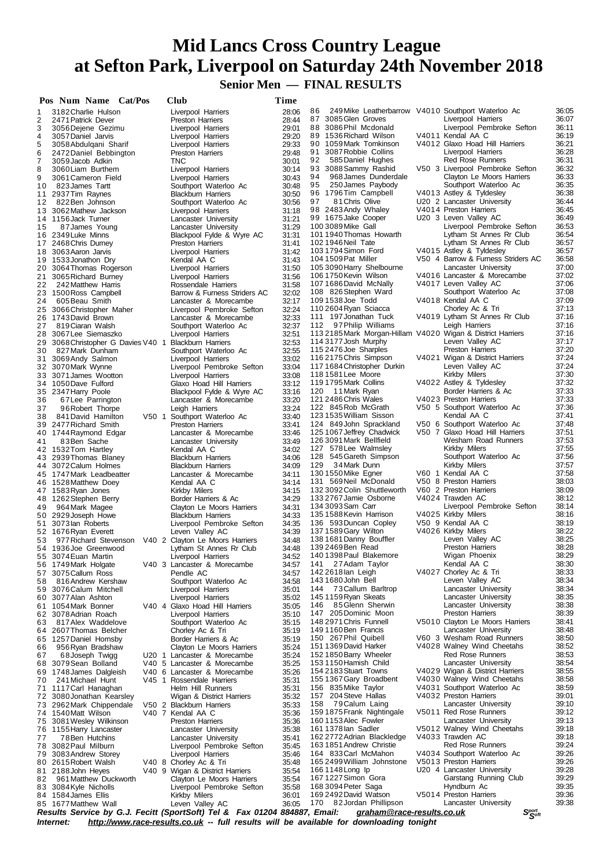**Senior Men — FINAL RESULTS**

|    | Pos Num Name Cat/Pos                               |  | Club                                                                      | Time  |                                                                                         |                                    |       |
|----|----------------------------------------------------|--|---------------------------------------------------------------------------|-------|-----------------------------------------------------------------------------------------|------------------------------------|-------|
| 1  | 3182 Charlie Hulson                                |  | Liverpool Harriers                                                        | 28:06 | 249 Mike Leatherbarrow V4010 Southport Waterloo Ac<br>86                                |                                    | 36:05 |
| 2  | 2471 Patrick Dever                                 |  | <b>Preston Harriers</b>                                                   | 28:44 | 87 3085 Glen Groves                                                                     | Liverpool Harriers                 | 36:07 |
| 3  | 3056 Dejene Gezimu                                 |  | Liverpool Harriers                                                        | 29:01 | 88 3086 Phil Mcdonald                                                                   | Liverpool Pembroke Sefton          | 36:11 |
| 4  | 3057 Daniel Jarvis                                 |  | Liverpool Harriers                                                        | 29:20 | 89 1536 Richard Wilson                                                                  | V4011 Kendal AA C                  | 36:19 |
| 5  | 3058 Abdulgani Sharif                              |  | Liverpool Harriers                                                        | 29:33 | 90 1059 Mark Tomkinson                                                                  | V4012 Glaxo Hoad Hill Harriers     | 36:21 |
| 6  | 2472 Daniel Bebbington                             |  | <b>Preston Harriers</b>                                                   | 29:48 | 91<br>3087 Robbie Collins                                                               | Liverpool Harriers                 | 36:28 |
| 7  | 3059 Jacob Adkin                                   |  | TNC                                                                       | 30:01 | 92<br>585 Daniel Hughes                                                                 | <b>Red Rose Runners</b>            | 36:31 |
| 8  | 3060 Liam Burthem                                  |  | Liverpool Harriers                                                        | 30:14 | 93 3088 Sammy Rashid                                                                    | V50 3 Liverpool Pembroke Sefton    | 36:32 |
| 9  | 3061 Cameron Field                                 |  | Liverpool Harriers                                                        | 30:43 | 94<br>968 James Dunderdale                                                              | Clayton Le Moors Harriers          | 36:33 |
| 10 | 823 James Tartt                                    |  | Southport Waterloo Ac                                                     | 30:48 | 95<br>250 James Paybody                                                                 | Southport Waterloo Ac              | 36:35 |
|    | 11 2937 Tim Raynes                                 |  | <b>Blackburn Harriers</b>                                                 | 30:50 | 96 1796 Tim Campbell                                                                    | V4013 Astley & Tyldesley           | 36:38 |
|    | 822 Ben Johnson                                    |  |                                                                           | 30:56 | 97<br>81 Chris Olive                                                                    | U20 2 Lancaster University         | 36:44 |
| 12 | 13 3062 Mathew Jackson                             |  | Southport Waterloo Ac                                                     |       | 98 2483 Andy Whaley                                                                     | V4014 Preston Harriers             | 36:45 |
|    |                                                    |  | Liverpool Harriers                                                        | 31:18 |                                                                                         |                                    | 36:49 |
|    | 14 1156 Jack Turner                                |  | Lancaster University                                                      | 31:21 | 99 1675 Jake Cooper                                                                     | U20 3 Leven Valley AC              |       |
| 15 | 87 James Young                                     |  | Lancaster University                                                      | 31:29 | 100 3089 Mike Gall                                                                      | Liverpool Pembroke Sefton          | 36:53 |
|    | 16 2349 Luke Minns                                 |  | Blackpool Fylde & Wyre AC                                                 | 31:31 | 101 1940 Thomas Howarth                                                                 | Lytham St Annes Rr Club            | 36:54 |
|    | 17 2468 Chris Durney                               |  | <b>Preston Harriers</b>                                                   | 31:41 | 102 1946 Neil Tate                                                                      | Lytham St Annes Rr Club            | 36:57 |
|    | 18 3063 Aaron Jarvis                               |  | Liverpool Harriers                                                        | 31:42 | 1031794 Simon Ford                                                                      | V4015 Astley & Tyldesley           | 36:57 |
|    | 19 1533 Jonathon Dry                               |  | Kendal AA C                                                               | 31:43 | 104 1509 Pat Miller                                                                     | V50 4 Barrow & Furness Striders AC | 36:58 |
|    | 20 3064 Thomas Rogerson                            |  | Liverpool Harriers                                                        | 31:50 | 105 3090 Harry Shelbourne                                                               | Lancaster University               | 37:00 |
|    | 21 3065 Richard Burney                             |  | Liverpool Harriers                                                        | 31:56 | 1061750 Kevin Wilson                                                                    | V4016 Lancaster & Morecambe        | 37:02 |
| 22 | 242 Matthew Harris                                 |  | Rossendale Harriers                                                       | 31:58 | 1071686David McNally                                                                    | V4017 Leven Valley AC              | 37:06 |
|    | 23 1500 Ross Campbell                              |  | Barrow & Furness Striders AC                                              | 32:02 | 108 826 Stephen Ward                                                                    | Southport Waterloo Ac              | 37:08 |
| 24 | 605 Beau Smith                                     |  | Lancaster & Morecambe                                                     | 32:17 | 109 1538 Joe Todd                                                                       | V4018 Kendal AA C                  | 37:09 |
|    | 25 3066 Christopher Maher                          |  | Liverpool Pembroke Sefton                                                 | 32:24 | 110 2604 Ryan Sciacca                                                                   | Chorley Ac & Tri                   | 37:13 |
|    | 26 1743 David Brown                                |  | Lancaster & Morecambe                                                     | 32:33 | 111 197 Jonathan Tuck                                                                   | V4019 Lytham St Annes Rr Club      | 37:16 |
| 27 | 819 Ciaran Walsh                                   |  | Southport Waterloo Ac                                                     | 32:37 | 112 97 Philip Williams                                                                  | Leigh Harriers                     | 37:16 |
|    | 28 3067 Lee Siemaszko                              |  | Liverpool Harriers                                                        | 32:51 | 113 2185 Mark Morgan-Hillam V4020 Wigan & District Harriers                             |                                    | 37:16 |
| 29 | 3068 Christopher G Davies V40 1 Blackburn Harriers |  |                                                                           | 32:53 | 114 3177 Josh Murphy                                                                    | Leven Valley AC                    | 37:17 |
| 30 | 827 Mark Dunham                                    |  | Southport Waterloo Ac                                                     | 32:55 | 115 2476 Joe Sharples                                                                   | <b>Preston Harriers</b>            | 37:20 |
|    | 31 3069 Andy Salmon                                |  |                                                                           | 33:02 | 116 2175 Chris Simpson                                                                  | V4021 Wigan & District Harriers    | 37:24 |
|    |                                                    |  | Liverpool Harriers                                                        |       | 117 1684 Christopher Durkin                                                             | Leven Valley AC                    | 37:24 |
|    | 32 3070 Mark Wynne                                 |  | Liverpool Pembroke Sefton                                                 | 33:04 | 118 1581 Lee Moore                                                                      | Kirkby Milers                      | 37:30 |
|    | 33 3071 James Wootton                              |  | Liverpool Harriers                                                        | 33:08 | 119 1795 Mark Collins                                                                   |                                    | 37:32 |
|    | 34 1050 Dave Fulford                               |  | Glaxo Hoad Hill Harriers                                                  | 33:12 |                                                                                         | V4022 Astley & Tyldesley           |       |
|    | 35 2347 Harry Poole                                |  | Blackpool Fylde & Wyre AC                                                 | 33:16 | 120<br>11 Mark Ryan                                                                     | Border Harriers & Ac               | 37:33 |
| 36 | 67 Lee Parrington                                  |  | Lancaster & Morecambe                                                     | 33:20 | 121 2486 Chris Wales                                                                    | V4023 Preston Harriers             | 37:33 |
| 37 | 96 Robert Thorpe                                   |  | Leigh Harriers                                                            | 33:24 | 122 845 Rob McGrath                                                                     | V50 5 Southport Waterloo Ac        | 37:36 |
| 38 | 841 David Hamilton                                 |  | V50 1 Southport Waterloo Ac                                               | 33:40 | 1231535 William Sisson                                                                  | Kendal AA C                        | 37:41 |
|    | 39 2477 Richard Smith                              |  | <b>Preston Harriers</b>                                                   | 33:41 | 124 849 John Sprackland                                                                 | V50 6 Southport Waterloo Ac        | 37:48 |
|    | 40 1744 Raymond Edgar                              |  | Lancaster & Morecambe                                                     | 33:46 | 125 1067 Jeffrey Chadwick                                                               | V50 7 Glaxo Hoad Hill Harriers     | 37:51 |
| 41 | 83 Ben Sache                                       |  | Lancaster University                                                      | 33:49 | 126 3091 Mark Bellfield                                                                 | Wesham Road Runners                | 37:53 |
|    | 42 1532 Tom Hartley                                |  | Kendal AA C                                                               | 34:02 | 127 578 Lee Walmsley                                                                    | Kirkby Milers                      | 37:55 |
|    | 43 2939 Thomas Blaney                              |  | <b>Blackburn Harriers</b>                                                 | 34:06 | 128 545 Gareth Simpson                                                                  | Southport Waterloo Ac              | 37:56 |
|    | 44 3072 Calum Holmes                               |  | <b>Blackburn Harriers</b>                                                 | 34:09 | 129 34 Mark Dunn                                                                        | Kirkby Milers                      | 37:57 |
|    | 45 1747 Mark Leadbeatter                           |  | Lancaster & Morecambe                                                     | 34:11 | 130 1550 Mike Egner                                                                     | V60 1 Kendal AA C                  | 37:58 |
|    | 46 1528 Matthew Doey                               |  | Kendal AA C                                                               | 34:14 | 131 569 Neil McDonald                                                                   | V50 8 Preston Harriers             | 38:03 |
|    | 47 1583 Ryan Jones                                 |  | Kirkby Milers                                                             | 34:15 | 132 3092 Colin Shuttleworth                                                             | V60 2 Preston Harriers             | 38:09 |
|    | 48 1262 Stephen Berry                              |  | Border Harriers & Ac                                                      | 34:29 | 133 2767 Jamie Osborne                                                                  | V4024 Trawden AC                   | 38:12 |
| 49 | 964 Mark Magee                                     |  | Clayton Le Moors Harriers                                                 | 34:31 | 134 3093 Sam Carr                                                                       | Liverpool Pembroke Sefton          | 38:14 |
|    | 50 2929 Joseph Howe                                |  | <b>Blackburn Harriers</b>                                                 | 34:33 | 1351588 Kevin Harrison                                                                  | V4025 Kirkby Milers                | 38:16 |
|    | 51 3073 lan Roberts                                |  | Liverpool Pembroke Sefton                                                 | 34:35 | 136 593 Duncan Copley                                                                   | V50 9 Kendal AA C                  | 38:19 |
|    |                                                    |  |                                                                           |       | 1371589 Gary Wilton                                                                     | V4026 Kirkby Milers                | 38:22 |
|    | 52 1676 Ryan Everett                               |  | Leven Valley AC                                                           | 34:39 | 138 1681 Danny Bouffler                                                                 | Leven Valley AC                    | 38:25 |
| 53 |                                                    |  | 977 Richard Stevenson V40 2 Clayton Le Moors Harriers                     | 34:48 |                                                                                         | <b>Preston Harriers</b>            | 38:28 |
|    | 54 1936 Joe Greenwood                              |  | Lytham St Annes Rr Club                                                   | 34:48 | 139 2469 Ben Read                                                                       |                                    |       |
|    | 55 3074 Euan Martin                                |  | Liverpool Harriers                                                        | 34:52 | 140 1398 Paul Blakemore                                                                 | Wigan Phoenix                      | 38:29 |
|    | 56 1749 Mark Holgate                               |  | V40 3 Lancaster & Morecambe                                               | 34:57 | 27 Adam Taylor<br>141                                                                   | Kendal AA C                        | 38:30 |
| 57 | 3075 Callum Ross                                   |  | Pendle AC                                                                 | 34:57 | 142 2618 lan Leigh                                                                      | V4027 Chorley Ac & Tri             | 38:33 |
| 58 | 816 Andrew Kershaw                                 |  | Southport Waterloo Ac                                                     | 34:58 | 143 1680 John Bell                                                                      | Leven Valley AC                    | 38:34 |
| 59 | 3076 Calum Mitchell                                |  | Liverpool Harriers                                                        | 35:01 | 144<br>73 Callum Barltrop                                                               | Lancaster University               | 38:34 |
|    | 60 3077 Alan Ashton                                |  | Liverpool Harriers                                                        | 35:02 | 145 1159 Ryan Skeats                                                                    | Lancaster University               | 38:35 |
|    | 61 1054 Mark Bonner                                |  | V40 4 Glaxo Hoad Hill Harriers                                            | 35:05 | 146<br>85Glenn Sherwin                                                                  | Lancaster University               | 38:38 |
|    | 62 3078 Adrian Roach                               |  | Liverpool Harriers                                                        | 35:10 | 147 205 Dominic Moon                                                                    | <b>Preston Harriers</b>            | 38:39 |
| 63 | 817 Alex Waddelove                                 |  | Southport Waterloo Ac                                                     | 35:15 | 148 2971 Chris Funnell                                                                  | V5010 Clayton Le Moors Harriers    | 38:41 |
|    | 64 2607 Thomas Belcher                             |  | Chorley Ac & Tri                                                          | 35:19 | 149 1160 Ben Francis                                                                    | Lancaster University               | 38:48 |
|    | 65 1257 Daniel Hornsby                             |  | Border Harriers & Ac                                                      | 35:19 | 150 267 Phil Quibell                                                                    | V60 3 Wesham Road Runners          | 38:50 |
| 66 | 956 Ryan Bradshaw                                  |  | Clayton Le Moors Harriers                                                 | 35:24 | 151 1369 David Harker                                                                   | V4028 Walney Wind Cheetahs         | 38:52 |
| 67 | 68 Joseph Twigg                                    |  | U20 1 Lancaster & Morecambe                                               | 35:24 | 152 1850 Barry Wheeler                                                                  | <b>Red Rose Runners</b>            | 38:53 |
|    | 68 3079 Sean Bolland                               |  | V40 5 Lancaster & Morecambe                                               | 35:25 | 1531150 Hamish Child                                                                    | Lancaster University               | 38:54 |
| 69 | 1748 James Dalgleish                               |  | V40 6 Lancaster & Morecambe                                               | 35:26 | 154 2183 Stuart Towns                                                                   | V4029 Wigan & District Harriers    | 38:55 |
| 70 | 241 Michael Hunt                                   |  | V45 1 Rossendale Harriers                                                 | 35:31 | 155 1367 Gary Broadbent                                                                 | V4030 Walney Wind Cheetahs         | 38:58 |
|    | 71 1117 Carl Hanaghan                              |  | Helm Hill Runners                                                         | 35:31 | 156 835 Mike Taylor                                                                     | V4031 Southport Waterloo Ac        | 38:59 |
|    | 72 3080 Jonathan Kearsley                          |  | Wigan & District Harriers                                                 | 35:32 | 157 204 Steve Hallas                                                                    | V4032 Preston Harriers             | 39:01 |
|    | 73 2962 Mark Chippendale                           |  | V50 2 Blackburn Harriers                                                  | 35:33 | 158 79 Calum Laing                                                                      | Lancaster University               | 39:10 |
|    | 74 1540 Matt Wilson                                |  | V40 7 Kendal AA C                                                         | 35:36 | 159 1875 Frank Nightingale                                                              | V5011 Red Rose Runners             | 39:12 |
|    |                                                    |  |                                                                           |       | 160 1153 Alec Fowler                                                                    | Lancaster University               | 39:13 |
|    | 75 3081 Wesley Wilkinson                           |  | <b>Preston Harriers</b>                                                   | 35:36 | 161 1378 lan Sadler                                                                     | V5012 Walney Wind Cheetahs         | 39:18 |
|    | 76 1155 Harry Lancaster                            |  | Lancaster University                                                      | 35:38 |                                                                                         | V4033 Trawden AC                   |       |
| 77 | 78 Ben Hutchins                                    |  | Lancaster University                                                      | 35:41 | 162 2772 Adrian Blackledge                                                              |                                    | 39:18 |
| 78 | 3082 Paul Milburn                                  |  | Liverpool Pembroke Sefton                                                 | 35:45 | 163 1851 Andrew Christie                                                                | Red Rose Runners                   | 39:24 |
| 79 | 3083 Andrew Storey                                 |  | Liverpool Harriers                                                        | 35:46 | 164 833 Carl McMahon                                                                    | V4034 Southport Waterloo Ac        | 39:26 |
|    | 80 2615 Robert Walsh                               |  | V40 8 Chorley Ac & Tri                                                    | 35:48 | 165 2499 William Johnstone                                                              | V5013 Preston Harriers             | 39:26 |
|    | 81 2188 John Heyes                                 |  | V40 9 Wigan & District Harriers                                           | 35:54 | 166 1148 Long lp                                                                        | U20 4 Lancaster University         | 39:28 |
| 82 | 961 Matthew Duckworth                              |  | Clayton Le Moors Harriers                                                 | 35:54 | 167 1227 Simon Gora                                                                     | Garstang Running Club              | 39:29 |
| 83 | 3084 Kyle Nicholls                                 |  | Liverpool Pembroke Sefton                                                 | 35:58 | 168 3094 Peter Saga                                                                     | Hyndburn Ac                        | 39:35 |
|    | 84 1584 James Ellis                                |  | Kirkby Milers                                                             | 36:01 | 169 2492 David Watson                                                                   | V5014 Preston Harriers             | 39:36 |
|    | 85 1677 Matthew Wall                               |  | Leven Valley AC                                                           | 36:05 | 170 82 Jordan Phillipson                                                                | Lancaster University               | 39:38 |
|    |                                                    |  | Results Service by G.J. Fecitt (SportSoft) Tel & Fax 01204 884887, Email: |       | graham@race-results.co.uk                                                               | $S_{\text{S}^{opt}}^{port}$        |       |
|    | <i>Internet:</i>                                   |  |                                                                           |       | http://www.race-results.co.uk -- full results will be available for downloading tonight |                                    |       |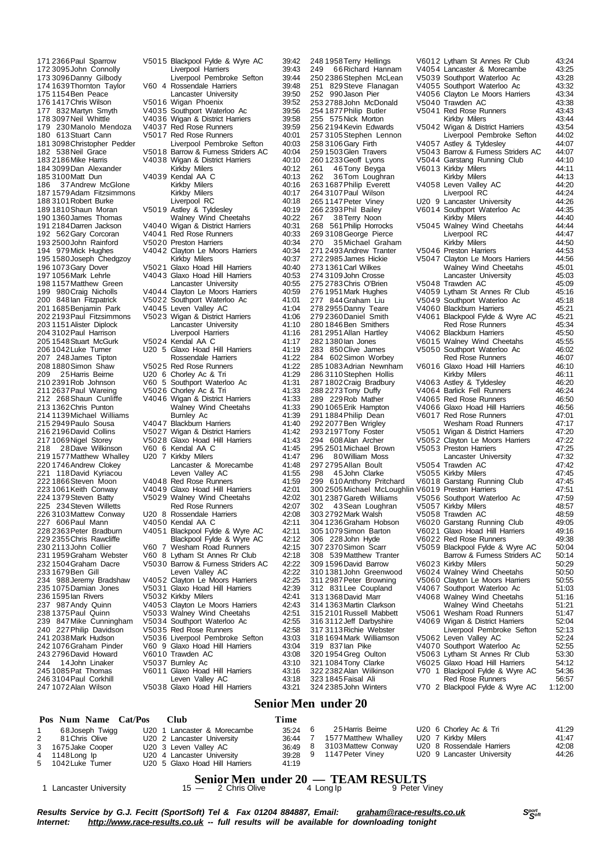175 1154 Ben Peace<br>176 1417 Chris Wilson 187 37 Andrew McGlone Kirkby Milers<br>1579 Adam Fitzsimmons Kirkby Milers 195 1580 Joseph Chedgzoy<br>196 1073 Gary Dover<br>197 1056 Mark Lehrle 222 1866 Steven Moon V4048 Red Rose Runners<br>223 1061 Keith Conway V4049 Glaxo Hoad Hill Ha 296 David Howard V6010 Trawden AC<br>24.10bn Linaker V5037 Burnley Ac

171 2366Paul Sparrow V5015 Blackpool Fylde & Wyre AC 39:42 172 3095 John Connolly Liverpool Harriers 39:43<br>173 3096 Danny Gilbody Liverpool Pembroke Sefton 39:44 173 3096Danny Gilbody Liverpool Pembroke Sefton 39:44 174 1639Thornton Taylor V60 4 Rossendale Harriers 39:48 176 1417 Chris Wilson V5016 Wigan Phoenix (176 1417 Chris Wilson V5016 Wigan Phoenix (18956)<br>177 832 Martyn Smyth V4035 Southport Waterloo Ac (18956) 177 832Martyn Smyth V4035 Southport Waterloo Ac 39:56 V4036 Wigan & District Harriers 39:58<br>V4037 Red Rose Runners 39:59 179 230Manolo Mendoza V4037 Red Rose Runners 39:59 180 613 Stuart Cann V5017 Red Rose Runners 40:01<br>181 3098 Christopher Pedder Liverpool Pembroke Sefton 40:03 181 3098Christopher Pedder Liverpool Pembroke Sefton 40:03 182 538Neil Grace V5018 Barrow & Furness Striders AC 40:04 183 2186Mike Harris V4038 Wigan & District Harriers 40:10 184 3099 Dan Alexander Kirkby Milers 40:12<br>185 3100 Matt Dun V4039 Kendal AA C 40:13 185 3100Matt Dun V4039 Kendal AA C 40:13 187 1579 Adam Fitzsimmons Kirkby Milers (1883)<br>188 3101 Robert Burke (1888) Liverpool RC (1894) 188 3101 Robert Burke Liverpool RC 40:18<br>189 1810 Shaun Moran V5019 Astley & Tyldesley 40:19 189 1810Shaun Moran V5019 Astley & Tyldesley 40:19 190 1360James Thomas Walney Wind Cheetahs 40:22 191 2184Darren Jackson V4040 Wigan & District Harriers 40:31 192 562 Gary Corcoran V4041 Red Rose Runners 40:33<br>193 2500 John Rainford V50 20 Preston Harriers 40:34 193 2500John Rainford V5020 Preston Harriers 40:34 1940 V4042 Clayton Le Moors Harriers 40:34<br>10:37 Kirkby Milers V5021 Glaxo Hoad Hill Harriers 40:40<br>V4043 Glaxo Hoad Hill Harriers 40:53 V4043 Glaxo Hoad Hill Harriers (1975)<br>Lancaster University 40:53 198 1157 Matthew Green Lancaster University 40:55<br>199 980 Craig Nicholls V4044 Clayton Le Moors Harriers 40:59<br>200 848 Ian Fitzpatrick V5022 Southport Waterloo Ac 41:01 V4044 Clayton Le Moors Harriers 40:59<br>V5022 Southport Waterloo Ac 41:01 200 848Ian Fitzpatrick V5022 Southport Waterloo Ac 41:01 V4045 Leven Valley AC 202 2193Paul Fitzsimmons V5023 Wigan & District Harriers 41:06 Experiment Diplocation Lancaster University<br>
Liverpool Harriers 41:16 204 3102Paul Harrison Liverpool Harriers 41:16 205 1548Stuart McGurk V5024 Kendal AA C 41:17 206 1042Luke Turner U20 5 Glaxo Hoad Hill Harriers 41:19 207 248James Tipton Rossendale Harriers 41:22<br>2081880Simon Shaw V5025 Red Rose Runners 41:22 V5025 Red Rose Runners 209 25Harris Beirne U20 6 Chorley Ac & Tri 41:29 210 2391 Rob Johnson V60 5 Southport Waterloo Ac 41:31<br>211 2637 Paul Wareing V50 26 Chorley Ac & Tri 41:33<br>212 268 Shaun Cunliffe V4046 Wigan & District Harriers 41:33 211 2637Paul Wareing V5026 Chorley Ac & Tri 41:33 212 268Shaun Cunliffe V4046 Wigan & District Harriers 41:33 213 1362Chris Punton Walney Wind Cheetahs 41:33 214 1139Michael Williams Burnley Ac 41:39 215 2949Paulo Sousa V4047 Blackburn Harriers 41:40 216 2196 David Collins V5027 Wigan & District Harriers 41:42<br>217 1069 Nigel Storey V5028 Glaxo Hoad Hill Harriers 41:43 217 1069Nigel Storey V5028 Glaxo Hoad Hill Harriers 41:43 2020 2012 2013 2014 2014 2014 2014 2014 2015 2016 2017 2018 2019 2014 2014 2015 2016 2017 2018 2019 2019 2018 20<br>2014 2015 2017 2018 2019 2017 2018 2019 2017 2018 2019 2019 2019 2018 2019 2019 2018 2019 2019 2019 2019 2019 219 1577 Matthew Whalley U20 7 Kirkby Milers 41:47<br>220 1746 Andrew Clokey Lancaster & Morecambe 41:48 Lancaster & Morecambe 41:48<br>Leven Valley AC 41:55 221 118David Kyriacou Leven Valley AC 41:55 223 1061Keith Conway V4049 Glaxo Hoad Hill Harriers 42:01 V5029 Walney Wind Cheetahs 42:02<br>Red Rose Runners 42:07 225 234 Steven Willetts Red Rose Runners 42:07<br>226 3103 Mattew Conway U20 8 Rossendale Harriers 42:08 226 3103Mattew Conway U20 8 Rossendale Harriers 42:08 227 606 Paul Mann V4050 Kendal AA C 42:11<br>228 2363 Peter Bradburn V4051 Blackpool Fylde & Wyre AC 42:11 228 2363 Peter Bradburn V4051 Blackpool Fylde & Wyre AC<br>229 2363 Peter Brawcliffe Blackpool Fylde & Wyre AC 229 2355Chris Rawcliffe Blackpool Fylde & Wyre AC 42:12 230 2113John Collier V60 7 Wesham Road Runners 42:15 231 1959 Graham Webster V60 8 Lytham St Annes Rr Club 42:18<br>232 1504 Graham Dacre V5030 Barrow & Furness Striders AC 42:22 232 1504Graham Dacre V5030 Barrow & Furness Striders AC 42:22 233 1679Ben Gill Leven Valley AC 42:22 V4052 Clayton Le Moors Harriers 235 1075Damian Jones V5031 Glaxo Hoad Hill Harriers 42:39 236 1595Ian Rivers V5032 Kirkby Milers 42:41 237 987 Andy Quinn V4053 Clayton Le Moors Harriers 42:43<br>238 1375 Paul Quinn V5033 Walney Wind Cheetahs 42:51 238 1375Paul Quinn V5033 Walney Wind Cheetahs 42:51 V5034 Southport Waterloo Ac 42:55<br>V5035 Red Rose Runners 42:58 240 227 Philip Davidson V5035 Red Rose Runners 42:58<br>241 2038 Mark Hudson V5036 Liverpool Pembroke Sefton 43:03 241 2038Mark Hudson V5036 Liverpool Pembroke Sefton 43:03 242 1076Graham Pinder V60 9 Glaxo Hoad Hill Harriers 43:04 244 14John Linaker V5037 Burnley Ac 43:10 245 1085Pat Thomas V6011 Glaxo Hoad Hill Harriers 43:16 246 3104 Paul Corkhill Leven Valley AC 43:18<br>247 1072 Alan Wilson V5038 Glaxo Hoad Hill Harriers 43:21 V5038 Glaxo Hoad Hill Harriers

323 1845 Faisal Ali **Red Rose Runners**<br>324 2385 John Winters **6:57 V70 2 Blackpool Fylde &** 

#### 248 1958Terry Hellings V6012 Lytham St Annes Rr Club 43:24 249 66Richard Hannam V4054 Lancaster & Morecambe 43:25 250 2386Stephen McLean V5039 Southport Waterloo Ac 43:28 251 829Steve Flanagan V4055 Southport Waterloo Ac 43:32 V4056 Clayton Le Moors Harriers<br>V5040 Trawden AC 253 2788 John McDonald V5040 Trawden AC 43:38<br>253 2788 John McDonald V5040 Trawden AC 43:38<br>254 1877 Philip Butler V5041 Red Rose Runners 43:43 255 1278 1278 1279 1278 1279 1274 1275<br>243:43 Kirkby Milers 43:44 255 575 Nick Morton Kirkby Milers 43:44<br>256 2194 Kevin Edwards V5042 Wigan & District Harriers 43:54 256 2194Kevin Edwards V5042 Wigan & District Harriers 43:54 257 3105Stephen Lennon Liverpool Pembroke Sefton 44:02 258 3106Gary Firth V4057 Astley & Tyldesley 44:07 259 1503Glen Travers V5043 Barrow & Furness Striders AC 44:07 260 1233 Geoff Lyons V5044 Garstang Running Club 44:10<br>
261 46 Tony Beyga V6013 Kirkby Milers 44:11<br>
262 36 Tom Loughran Kirkby Milers 44:13 26013 Kirkby Milers 44:11<br>
24:11 Kirkby Milers 44:13 261 262 2000 2001 2011 2021 203 204 205 206 206 206 207 208 2011 2023<br>262 36Tom Loughran 2631687 264:13<br>2631687 263 263 263 263 268 269 2012 203 204:20 V4058 Leven Valley AC 44:20<br>Liverpool RC 44:24 264 3107Paul Wilson Liverpool RC 44:24 265 1147Peter Viney U20 9 Lancaster University 44:26 266 2393 Phil Bailey V6014 Southport Waterloo Ac 44:35<br>
267 38 Terry Noon Kirkby Milers 44:40<br>
268 561 Philip Horrocks V5045 Walney Wind Cheetahs 44:44 267 38Terry Noon Kirkby Milers 44:40 268 561Philip Horrocks V5045 Walney Wind Cheetahs 44:44 269 3108 George Pierce Liverpool RC 44:47<br>270 35 Michael Graham Kirkby Milers 44:50 270 35Michael Graham Kirkby Milers 44:50 271 2493 Andrew Tranter V5046 Preston Harriers 44:53<br>272 2985 James Hickie V5047 Clavton Le Moors Harriers 44:56 272 2985 James Hickie V5047 Clayton Le Moors Harriers (273 1361 Carl Wilkes Wind Cheetahs 273 1361Carl Wilkes Walney Wind Cheetahs 45:01 274 3109John Crosse Lancaster University 45:03 275 2783 Chris O'Brien V5048 Trawden AC 45:09<br>275 2783 Chris O'Brien V5048 Trawden AC 45:09<br>276 1951 Mark Hughes V4059 Lytham St Annes Rr Club 45:16 276 1951Mark Hughes V4059 Lytham St Annes Rr Club 45:16 277 844Graham Liu V5049 Southport Waterloo Ac 45:18 V4060 Blackburn Harriers 45:21<br>278 29550 V4061 Blackpool Fylde & Wyre AC 45:21<br>Red Rose Runners 45:34 279 2360Daniel Smith V4061 Blackpool Fylde & Wyre AC 45:21 280 1846 Ben Smithers **Red Rose Runners** 45:34 281 2951 Allan Hartley V4062 Blackburn Harriers 45:50<br>282 1380 lan Jones V6015 Walney Wind Cheetahs 45:55 282 1380Ian Jones V6015 Walney Wind Cheetahs 45:55 V5050 Southport Waterloo Ac 46:02<br>Red Rose Runners 46:07 284 602 Simon Worbey Red Rose Runners 46:07<br>285 1083 Adrian Newnham V6016 Glaxo Hoad Hill Harriers 46:10 V6016 Glaxo Hoad Hill Harriers<br>Kirkby Milers 286 3110 Stephen Hollis Kirkby Milers 46:11<br>1287 1802 Craig Bradbury V4063 Astley & Tyldesley 46:20 287 1802Craig Bradbury V4063 Astley & Tyldesley 46:20 288 2273Tony Duffy V4064 Barlick Fell Runners 46:24 289 229 Rob Mather V4065 Red Rose Runners 46:50<br>299 229 Rob Mather V4065 Red Rose Runners 46:50<br>290 1065 Erik Hampton V4066 Glaxo Hoad Hill Harriers 46:56 V4066 Glaxo Hoad Hill Harriers 46:56<br>V6017 Red Rose Runners 47:01 291 1884 V6017 Red Rose Runners 47:01<br>Wesham Road Runners 47:17 291 1884 Philip Dean<br>
292 2077 Ben Wigley Wesham Road Runners 47:17<br>
293 2197 Tony Foster V5051 Wigan & District Harriers 47:20 293 2197 Tony Foster V5051 Wigan & District Harriers 47:2016 V5052 Clayton Le Moors Harriers 294 608Alan Archer V5052 Clayton Le Moors Harriers 47:22 295 2501Michael Brown V5053 Preston Harriers 47:25 296 80 William Moss Lancaster University<br>297 2795 Allan Boult V5054 Trawden AC 47:42 297 2795Allan Boult V5054 Trawden AC 47:42 298 45John Clarke V5055 Kirkby Milers 47:45 V6018 Garstang Running Club 300 2505 Michael McLoughlin V6019 Preston Harriers (47:51 47:51 47:51 47:59 301 2387Gareth Williams V5056 Southport Waterloo Ac 47:59 302 1357<br>1957 Kirkby Milers 48:57<br>1958 Trawden AC 48:59 303 2792Mark Walsh V5058 Trawden AC 48:59 304 1236Graham Hobson V6020 Garstang Running Club 49:05 305 1079 Simon Barton V6021 Glaxo Hoad Hill Harriers<br>306 228 John Hyde V6022 Red Rose Runners<br>307 2370 Simon Scarr V5059 Blackpool Fylde & Wyre 306 228John Hyde V6022 Red Rose Runners 49:38 307 2370Simon Scarr V5059 Blackpool Fylde & Wyre AC 50:04 308 539Matthew Tranter Barrow & Furness Striders AC 50:14 309 1596 David Barrow V6023 Kirkby Milers 60:29 50:29<br>310 1381 John Greenwood V6024 Walnev Wind Cheetahs 50:50 310 1381John Greenwood V6024 Walney Wind Cheetahs 50:50 V5060 Clayton Le Moors Harriers 312 831Lee Coupland V4067 Southport Waterloo Ac 51:03 313 1368David Marr V4068 Walney Wind Cheetahs 51:16 314 1363Martin Clarkson Walney Wind Cheetahs 51:21 315 2101 Russell Mabbett V5061 Wesham Road Runners 51:47<br>316 3112 Jeff Darbyshire V4069 Wigan & District Harriers 52:04 316 3112Jeff Darbyshire V4069 Wigan & District Harriers 52:04 317 3113Richie Webster Liverpool Pembroke Sefton 52:13 318 1694 Mark Williamson v 5062 Leven Valley AC 52:24<br>319 837 lan Pike v 4070 Southport Waterloo Ac 52:55<br>320 1954 Greg Oulton v 5063 Lytham St Annes Rr Club 53:30<br>321 1084 Tony Clarke v 6025 Glaxo Hoad Hill Harriers 54:12 V4070 Southport Waterloo Ac V5063 Lytham St Annes Rr Club 53:30<br>V6025 Glaxo Hoad Hill Harriers 54:12 321 1084Tony Clarke V6025 Glaxo Hoad Hill Harriers 54:12 322 2382Alan Wilkinson V70 1 Blackpool Fylde & Wyre AC 54:36

V70 2 Blackpool Fylde & Wyre AC 1:12:00

#### **Senior Men under 20**

| Pos Num Name Cat/Pos | - Club                         | Time    |                            |                            |       |
|----------------------|--------------------------------|---------|----------------------------|----------------------------|-------|
| 68 Joseph Twigg      | U20 1 Lancaster & Morecambe    | 35:24 6 | 25 Harris Beirne           | U20 6 Chorley Ac & Tri     | 41:29 |
| 81 Chris Olive       | U20 2 Lancaster University     | 36:44 7 | 1577 Matthew Whalley       | U20 7 Kirkby Milers        | 41:47 |
| 3 1675 Jake Cooper   | U20 3 Leven Valley AC          |         | 36:49 8 3103 Mattew Conway | U20 8 Rossendale Harriers  | 42:08 |
| 4 1148 Long Ip       | U20 4 Lancaster University     |         | 39:28 9 1147 Peter Vinev   | U20 9 Lancaster University | 44:26 |
| 5 1042 Luke Turner   | U20 5 Glaxo Hoad Hill Harriers | 41:19   |                            |                            |       |

# 1 Lancaster University **15 CHRIGHT SERVICES**<br>
15 - 2 Chris Olive 4 Long Ip 9 Peter Viney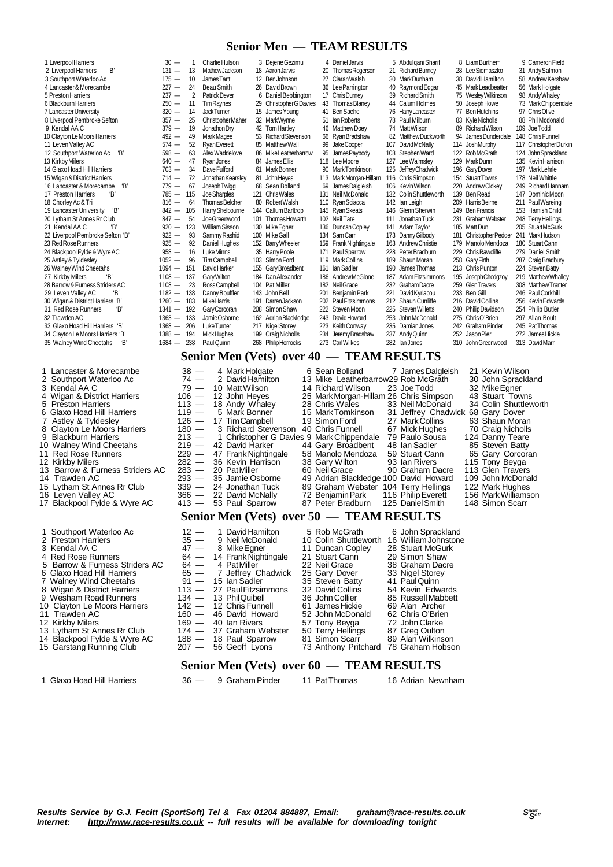#### **Senior Men — TEAM RESULTS**

| 1 Liverpool Harriers             | $30 -$   |     | Charlie Hulson        |     | 3 Dejene Gezimu           |     | 4 Daniel Jarvis        |     | 5 Abdulgani Sharif     |     | 8 Liam Burthem      | 9 Cameron Field        |
|----------------------------------|----------|-----|-----------------------|-----|---------------------------|-----|------------------------|-----|------------------------|-----|---------------------|------------------------|
| Έ,<br>2 Liverpool Harriers       | $131 -$  | 13  | Mathew Jackson        |     | 18 Aaron Jarvis           |     | 20 Thomas Rogerson     |     | 21 Richard Burney      |     | 28 Lee Siemaszko    | 31 Andy Salmon         |
| 3 Southport Waterloo Ac          | $175 -$  | 10  | James Tartt           |     | 12 Ben Johnson            |     | 27 Ciaran Walsh        |     | 30 Mark Dunham         |     | 38 David Hamilton   | 58 Andrew Kershaw      |
| 4 Lancaster & Morecambe          | $227 -$  | 24  | Beau Smith            |     | 26 David Brown            |     | 36 Lee Parrington      |     | 40 Raymond Edgar       |     | 45 Mark Leadbeatter | 56 Mark Holgate        |
| 5 Preston Harriers               | $237 -$  | 2   | <b>Patrick Dever</b>  |     | 6 Daniel Bebbington       |     | 17 Chris Durney        |     | 39 Richard Smith       |     | 75 Wesley Wilkinson | 98 Andy Whaley         |
| 6 Blackburn Harriers             | $250 -$  | 11  | <b>Tim Raynes</b>     |     | 29 Christopher G Davies   |     | 43 Thomas Blaney       |     | 44 Calum Holmes        |     | 50 Joseph Howe      | 73 Mark Chippendale    |
| 7 Lancaster University           | $320 -$  | 14  | <b>JackTumer</b>      |     | 15 James Young            |     | 41 Ben Sache           |     | 76 Harry Lancaster     |     | 77 Ben Hutchins     | 97 Chris Olive         |
| 8 Liverpool Pembroke Sefton      | $357 -$  | 25  | Christopher Maher     |     | 32 MarkWynne              | 51  | lan Roberts            |     | 78 Paul Milburn        |     | 83 Kyle Nicholls    | 88 Phil Mcdonald       |
| 9 Kendal AA C                    | $379 -$  | 19  | Jonathon Dry          |     | 42 Tom Hartley            | 46  | <b>Matthew Doey</b>    |     | 74 MattWilson          |     | 89 Richard Wilson   | 109 Joe Todd           |
| 10 Clayton Le Moors Harriers     | $492 -$  | 49  | Mark Magee            |     | 53 Richard Stevenson      |     | 66 Ryan Bradshaw       |     | 82 Matthew Duckworth   | 94  | James Dunderdale    | 148 Chris Funnell      |
| 11 Leven Valley AC               | $574 -$  | 52  | <b>Ryan Everett</b>   |     | 85 Matthew Wall           |     | 99 Jake Cooper         |     | 107 David McNally      |     | 114 Josh Murphy     | 117 Christopher Durkin |
| 'B'<br>12 Southport Waterloo Ac  | $598 -$  | 63  | Alex Waddelove        |     | 86 Mike Leatherbarrow     | 95  | James Paybody          |     | 108 Stephen Ward       |     | 122 RobMcGrath      | 124 John Sprackland    |
| 13 Kirkby Milers                 | $640 -$  | 47  | <b>Ryan Jones</b>     |     | 84 James Ellis            |     | 118 Lee Moore          |     | 127 Lee Walmsley       | 129 | Mark Dunn           | 135 Kevin Harrison     |
| 14 Glaxo Hoad Hill Harriers      | $703 -$  | 34  | Dave Fulford          |     | 61 Mark Bonner            |     | 90 MarkTomkinson       |     | 125 Jeffrey Chadwick   |     | 196 Gary Dover      | 197 Mark Lehrle        |
| 15 Wigan & District Harriers     | $714 -$  | 72  | Jonathan Kearsley     |     | 81 John Heyes             |     | 113 Mark Morgan-Hillam |     | 116 Chris Simpson      | 154 | <b>Stuart Towns</b> | 178 Neil Whittle       |
| 'В'<br>16 Lancaster & Morecambe  | $779 -$  | 67  | Joseph Twigg          |     | 68 Sean Bolland           |     | 69 James Dalgleish     |     | 106 Kevin Wilson       | 220 | Andrew Clokev       | 249 Richard Hannam     |
| Έ,<br>17 Preston Harriers        | $785 -$  | 115 | Joe Sharples          |     | 121 Chris Wales           | 131 | Neil McDonald          |     | 132 Colin Shuttleworth | 139 | Ben Read            | 147 Dominic Moon       |
| 18 Chorley Ac & Tri              | $816 -$  | 64  | Thomas Belcher        |     | 80 Robert Walsh           |     | 110 Ryan Sciacca       |     | 142 Ian Leigh          | 209 | Harris Beirne       | 211 Paul Wareing       |
| Έ,<br>19 Lancaster University    | $842 -$  | 105 | Harry Shelbourne      |     | 144 Callum Barltrop       |     | 145 Ryan Skeats        |     | 146 Glenn Sherwin      | 149 | <b>Ben Francis</b>  | 153 Hamish Child       |
| 20 Lytham St Annes Rr Club       | $847 -$  | 54  | Joe Greenwood         |     | 101 Thomas Howarth        |     | 102 Neil Tate          | 111 | Jonathan Tuck          | 231 | Graham Webster      | 248 Terry Hellings     |
| Έ<br>21 Kendal AA C              | $920 -$  | 123 | <b>William Sisson</b> |     | 130 Mike Egner            | 136 | Duncan Copley          |     | 141 Adam Taylor        |     | 185 Matt Dun        | 205 StuartMcGurk       |
| 22 Liverpool Pembroke Sefton 'B' | $922 -$  | 93  | Sammy Rashid          |     | 100 Mike Gall             |     | 134 Sam Carr           |     | 173 Danny Gilbody      | 181 | Christopher Pedder  | 241 MarkHudson         |
| 23 Red Rose Runners              | $925 -$  | 92  | Daniel Hughes         |     | 152 Barry Wheeler         |     | 159 Frank Nightingale  |     | 163 Andrew Christie    |     | 179 Manolo Mendoza  | 180 Stuart Cann        |
| 24 Blackpool Fylde & Wyre AC     | $958 -$  | 16  | Luke Minns            |     | 35 Harry Poole            | 171 | Paul Sparrow           |     | 228 Peter Bradburn     | 229 | Chris Rawcliffe     | 279 Daniel Smith       |
| 25 Astley & Tyldesley            | $1052 -$ | 96  | <b>Tim Campbell</b>   |     | 103 Simon Ford            |     | 119 Mark Collins       | 189 | Shaun Moran            | 258 | Gary Firth          | 287 Craig Bradbury     |
| 26 Walney Wind Cheetahs          | $1094 -$ | 151 | <b>DavidHarker</b>    |     | 155 Garv Broadbent        | 161 | <b>Ian Sadler</b>      | 190 | James Thomas           |     | 213 Chris Punton    | 224 Steven Batty       |
| Έ,<br>27 Kirkby Milers           | $1108 -$ | 137 | Gary Wilton           |     | 184 Dan Alexander         | 186 | Andrew McGlone         | 187 | Adam Fitzsimmons       | 195 | Joseph Chedgzoy     | 219 Matthew Whalley    |
| 28 Barrow & Furness Striders AC  | $1108 -$ | 23  | Ross Campbell         |     | 104 Pat Miller            |     | 182 Neil Grace         |     | 232 Graham Dacre       | 259 | <b>GlenTravers</b>  | 308 Matthew Tranter    |
| Έ,<br>29 Leven Valley AC         | $1182 -$ | 138 | Danny Bouffler        |     | 143 John Bell             | 201 | Beniamin Park          | 221 | David Kyriacou         | 233 | Ben Gill            | 246 Paul Corkhill      |
| 30 Wigan & District Harriers 'B' | $1260 -$ | 183 | <b>Mike Harris</b>    | 191 | Darren Jackson            |     | 202 Paul Fitzsimmons   |     | 212 Shaun Cunliffe     | 216 | David Collins       | 256 Kevin Edwards      |
| Έ,<br>31 Red Rose Runners        | $1341 -$ | 192 | Gary Corcoran         |     | 208 Simon Shaw            |     | 222 Steven Moon        | 225 | Steven Willetts        | 240 | Philip Davidson     | 254 Philip Butler      |
| 32 Trawden AC                    | $1363 -$ | 133 | JamieOsborne          |     | 162 Adrian Blackledge     |     | 243 David Howard       |     | 253 John McDonald      |     | 275 Chris O'Brien   | 297 Allan Boult        |
| 33 Glaxo Hoad Hill Harriers 'B'  | $1368 -$ | 206 | Luke Turner           |     | 217 Nigel Storey          |     | 223 Keith Conway       |     | 235 Damian Jones       |     | 242 Graham Pinder   | 245 Pat Thomas         |
| 34 Clayton Le Moors Harriers 'B' | $1388 -$ | 194 | <b>Mick Hughes</b>    |     | 199 CraigNicholls         | 234 | Jeremy Bradshaw        | 237 | Andy Quinn             |     | 252 Jason Pier      | 272 James Hickie       |
| 35 Walney Wind Cheetahs<br>Έ,    | $1684 -$ | 238 | Paul Quinn            |     | 268 Philip Horrocks       |     | 273 Carl Wilkes        |     | 282 lanJones           |     | 310 John Greenwood  | 313 DavidMarr          |
|                                  |          |     |                       |     | Senior Men (Vets) over 40 |     | TEAM                   |     | <b>RESULTS</b>         |     |                     |                        |

- 3 Kendal AA C 79 10 Matt Wilson 14 Richard Wilson 23 Joe Todd 32 Mike Egner<br>4 Wigan & District Harriers 106 12 John Heyes 25 Mark Morgan-Hillam 26 Chris Simpson 43 Stuart Tow<br>5 Preston Harriers 113 18 Andy Whaley 28 4 Wigan & District Harriers 106 — 12 John Heyes 25 MarkMorgan-Hillam 26 Chris Simpson<br>113 — 18 Andy Whaley 28 Chris Wales 33 Neil McDonald 5 And Migan & District Harriers 113 — 18 John Heyes 25 Mark Morgan-Hillam 26 Chris Simpson 43 Stuart Tewns<br>5 Preston Harriers 113 — 18 Andy Whaley 28 Chris Wales 33 Neil McDonald 34 Colin Shuttleworth<br>6 Glaxo Hoad Hill Har 6 Glaxo Hoad Hill Harriers 119 — 5 Mark Bonner 15 MarkTomkinson 31 Jeffrey Chadwick 68 Gary Dover 7 Astley & Tyldesley 126 — 17 TimCampbell 19 SimonFord 27 MarkCollins 63 Shaun Moran 8 Clayton Le Moors Harriers 180 — 3 Richard Stevenson 40 Chris Funnell 67 Mick Hughes 70 Craig Nicholls 9 Blackburn Harriers 213 — 17 Tim Campbell 27 Mark Collins 63 Shaun Moran<br>
9 Blackburn Harriers 213 — 1 Christopher G Davies 9 Mark Chippendale 79 Paulo Sousa 124 Danny Teare<br>
10 Walney Wind Cheetahs 219 — 42 David Harker 10 Walney Wind Cheetahs 219 — 42 David Harker 44 Gary Broadbent 48 Ian Sadler 85 Steven Batty
- 11 Red Rose Runners **229 47 Frank Nightingale 58 Manolo Mendoza** 59 Stuart Cann 65 Gary Corcor<br>12 Kirkby Milers 282 36 Kevin Harrison 38 Gary Wilton 93 Ian Rivers 115 Tony Beyga
- 
- 12 Kirkby Milers 282 36 Kevin Harrison 38 Gary Wilton 93 Ian Rivers 115 Tony Beyga<br>13 Barrow & Furness Striders AC 283 20 Pat Miller 60 Neil Grace 90 Graham Dacre 113 Glen Travers<br>14 Trawden AC 293 35 Jamie Osborne 4 13 Barrow & Furness Striders AC 283 — 20 Pat Miller 61 New AC<br>14 Trawden AC 293 — 35 Jamie Osborne
- 
- 
- 15 Lytham St Annes Rr Club 339 24 Jonathan Tuck 89 Graham Webster<br>16 Leven Valley AC 366 22 David McNally 72 Benjamin Park
- 16 Leven Valley AC 366 22 David McNally 72 BenjaminPark 116 PhilipEverett 156 MarkWilliamson 17 Blackpool Fylde & Wyre AC 413 53 Paul Sparrow 87 Peter Bradburn 125 DanielSmith 148 Simon Scarr
- 
- 1 Southport Waterloo Ac 12 1 David Hamilton 5 Rob McGrath 6 John Sprackland<br>2 Preston Harriers 35 9 Neil McDonald 10 Colin Shuttleworth 16 William Johnston<br>3 Kendal AA C 47 8 Mike Eqner 11 Duncan Copley 28 Stuart McG 2 Preston Harriers 35 - 9 Neil McDonald 10 Colin Shuttleworth 16 William Johnstone<br>3 Kendal AA C 47 - 8 Mike Egner 11 Duncan Copley 28 Stuart McGurk
- 
- 
- 
- 4 Red Rose Runners 64 14 Frank Nightingale 21 Stuart Cann 29 Simon Shaw<br>5 Barrow & Furness Striders AC 64 4 Pat Miller 22 Neil Grace 38 Graham Dacre<br>6 Glaxo Hoad Hill Harriers 65 7 Jeffrey Chadwick 25 Gary Dover 33 N 5 Barrow & Furness Striders AC 64 — 4 PatMiller **22 Neil Grace** 38 Graham Dacre<br>6 Glaxo Hoad Hill Harriers 65 — 7 Jeffrey Chadwick 25 Gary Dover 33 Nigel Storey 5 Barrow & Furness Striders AC  $\begin{array}{r} 64 - 4$  Pat Miller 22 Neil Grace 38 Graham Dacre<br>
6 Glaxo Hoad Hill Harriers  $\begin{array}{r} 65 - 7$  Jeffrey Chadwick 25 Gary Dover 33 Nigel Storey<br>
7 Walney Wind Cheetahs 91 - 15 Ian Sadler
- 
- 8 Wigan & District Harriers 113 27 Paul Fitzsimmons 32 David Collins 54 Kevin Edwards<br>9 Wesham Road Runners 134 13 Phil Quibell 36 John Collier 85 Russell Mabbett
- Wesham Road Runners 134 13 PhilQuibell 36 John Collier 85 Russell Mabbett 36 John Collier 85 Russell Mabbett<br>Clayton Le Moors Harriers 142 12 Chris Funnell 61 James Hickie 69 Alan Archer
- 10 Clayton Le Moors Harriers 142 12 Chris Funnell 61 James Hickie 69 Alan Archer<br>11 Trawden AC 160 46 David Howard 52 John McDonald 62 Chris O'Brien<br>12 Kirkby Milers 19 169 40 Ian Rivers 57 Tony Beyga 72 John Clark
- 
- 
- 12 11 Trawden AC 160 160 16 David Howard 169 16 David Howard 52 John McDonald 62 Chris O'Brien<br>12 Kirkby Milers 169 40 Ian Rivers 57 Tony Beyga 72 John Clarke<br>13 Lytham St Annes Rr Club 174 37 Graham Webster 50 T 13 Lytham St Annes Rr Club 174 - 37 Graham Webster 50 Terry Helling<br>14 Blackpool Fylde & Wyre AC 188 - 18 Paul Sparrow 81 Simon Scarr
- 14 Blackpool Fylde & Wyre AC 188 18 Paul Sparrow 81 Simon Scarr 89 Alan Wilkinson<br>15 Garstang Running Club 207 56 Geoff Lyons 73 Anthony Pritchard 78 Graham Hobson 15 Gashpeer: 516 Graham Hotel Club
	- **Senior Men (Vets) over 60 — TEAM RESULTS**

**Senior Men (Vets) over 50 — TEAM RESULTS**

47 - 8 Mike Egner 11 Duncan Copley 28 Stuart McGurk 64 - 14 Frank Nightingale 21 Stuart Cann 29 Simon Shaw

1 Glaxo Hoad Hill Harriers 36 — 9 Graham Pinder 11 PatThomas 16 Adrian Newnham

 $160 - 46$  David Howard  $169 - 40$  Jan Rivers

- 1 Lancaster & Morecambe 4 Mark Holgate 6 Sean Bolland 7 James Dalgleish 21 Kevin Wilson<br>2 Southport Waterloo Ac 74 2 David Hamilton
	-
	-
	-
	-
	-
	-
	-
	-
	-
	- 14 Trammer AC 203 35 Jamie Osborne 49 Adrian Blackledge 100 David Howard 109 John McDonald<br>149 Adrian Blackledge 100 David Howard 109 John McDonald<br>149 22 David McNally 72 Benjamin Park 116 Philip Everett 156 Mark Will
		-